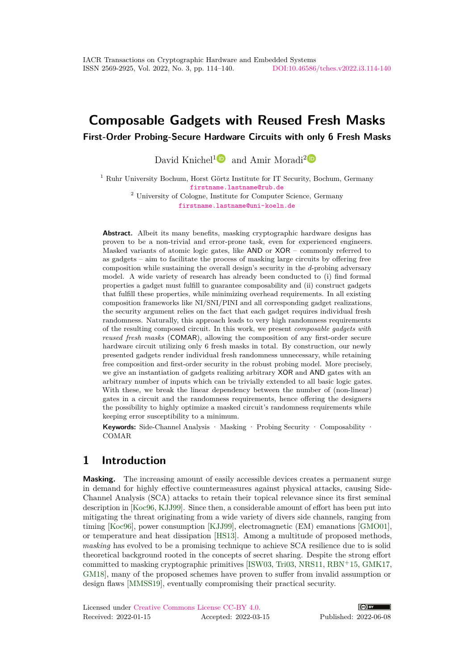# **Composable Gadgets with Reused Fresh Masks**

**First-Order Probing-Secure Hardware Circuits with only 6 Fresh Masks**

David Knichel<sup>[1](https://orcid.org/0000-0002-2510-8881)</sup> $\blacksquare$  and Amir Moradi<sup>[2](https://orcid.org/0000-0002-4032-7433)</sup> $\blacksquare$ 

<sup>1</sup> Ruhr University Bochum, Horst Görtz Institute for IT Security, Bochum, Germany [firstname.lastname@rub.de](mailto:david.knichel@rub.de,amir.moradi@rub.de) <sup>2</sup> University of Cologne, Institute for Computer Science, Germany [firstname.lastname@uni-koeln.de](mailto:amir.moradi@uni-koeln.de)

**Abstract.** Albeit its many benefits, masking cryptographic hardware designs has proven to be a non-trivial and error-prone task, even for experienced engineers. Masked variants of atomic logic gates, like AND or XOR – commonly referred to as gadgets – aim to facilitate the process of masking large circuits by offering free composition while sustaining the overall design's security in the *d*-probing adversary model. A wide variety of research has already been conducted to (i) find formal properties a gadget must fulfill to guarantee composability and (ii) construct gadgets that fulfill these properties, while minimizing overhead requirements. In all existing composition frameworks like NI/SNI/PINI and all corresponding gadget realizations, the security argument relies on the fact that each gadget requires individual fresh randomness. Naturally, this approach leads to very high randomness requirements of the resulting composed circuit. In this work, we present *composable gadgets with reused fresh masks* (COMAR), allowing the composition of any first-order secure hardware circuit utilizing only 6 fresh masks in total. By construction, our newly presented gadgets render individual fresh randomness unnecessary, while retaining free composition and first-order security in the robust probing model. More precisely, we give an instantiation of gadgets realizing arbitrary XOR and AND gates with an arbitrary number of inputs which can be trivially extended to all basic logic gates. With these, we break the linear dependency between the number of (non-linear) gates in a circuit and the randomness requirements, hence offering the designers the possibility to highly optimize a masked circuit's randomness requirements while keeping error susceptibility to a minimum.

**Keywords:** Side-Channel Analysis · Masking · Probing Security · Composability · COMAR

## **1 Introduction**

**Masking.** The increasing amount of easily accessible devices creates a permanent surge in demand for highly effective countermeasures against physical attacks, causing Side-Channel Analysis (SCA) attacks to retain their topical relevance since its first seminal description in [\[Koc96,](#page-25-0) [KJJ99\]](#page-25-1). Since then, a considerable amount of effort has been put into mitigating the threat originating from a wide variety of divers side channels, ranging from timing [\[Koc96\]](#page-25-0), power consumption [\[KJJ99\]](#page-25-1), electromagnetic (EM) emanations [\[GMO01\]](#page-25-2), or temperature and heat dissipation [\[HS13\]](#page-25-3). Among a multitude of proposed methods, *masking* has evolved to be a promising technique to achieve SCA resilience due to is solid theoretical background rooted in the concepts of secret sharing. Despite the strong effort committed to masking cryptographic primitives [\[ISW03,](#page-25-4) [Tri03,](#page-26-0) [NRS11,](#page-26-1) [RBN](#page-26-2)<sup>+</sup>15, [GMK17,](#page-25-5) [GM18\]](#page-25-6), many of the proposed schemes have proven to suffer from invalid assumption or design flaws [\[MMSS19\]](#page-26-3), eventually compromising their practical security.

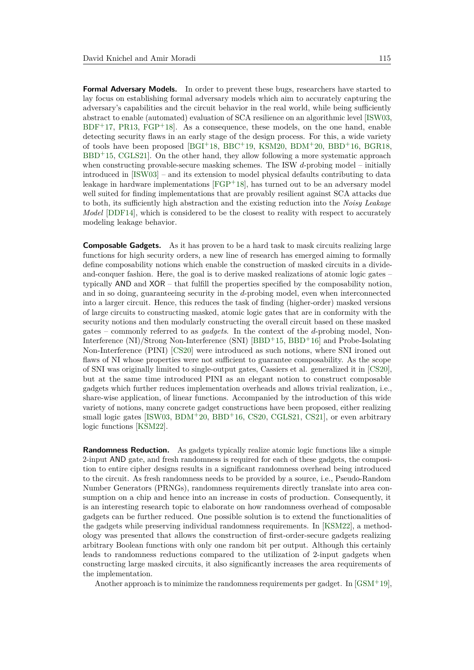**Formal Adversary Models.** In order to prevent these bugs, researchers have started to lay focus on establishing formal adversary models which aim to accurately capturing the adversary's capabilities and the circuit behavior in the real world, while being sufficiently abstract to enable (automated) evaluation of SCA resilience on an algorithmic level [\[ISW03,](#page-25-4)  $BDF+17$  $BDF+17$ , [PR13,](#page-26-4)  $FGP+18$  $FGP+18$ . As a consequence, these models, on the one hand, enable detecting security flaws in an early stage of the design process. For this, a wide variety of tools have been proposed [\[BGI](#page-23-1)+18, [BBC](#page-23-2)+19, [KSM20,](#page-25-8) [BDM](#page-23-3)+20, [BBD](#page-23-4)+16, [BGR18,](#page-24-0)  $BBD<sup>+</sup>15$  $BBD<sup>+</sup>15$ , CGLS21. On the other hand, they allow following a more systematic approach when constructing provable-secure masking schemes. The ISW *d*-probing model – initially introduced in [\[ISW03\]](#page-25-4) – and its extension to model physical defaults contributing to data leakage in hardware implementations [\[FGP](#page-25-7)<sup>+</sup>18], has turned out to be an adversary model well suited for finding implementations that are provably resilient against SCA attacks due to both, its sufficiently high abstraction and the existing reduction into the *Noisy Leakage Model* [\[DDF14\]](#page-24-2), which is considered to be the closest to reality with respect to accurately modeling leakage behavior.

**Composable Gadgets.** As it has proven to be a hard task to mask circuits realizing large functions for high security orders, a new line of research has emerged aiming to formally define composability notions which enable the construction of masked circuits in a divideand-conquer fashion. Here, the goal is to derive masked realizations of atomic logic gates – typically AND and XOR – that fulfill the properties specified by the composability notion, and in so doing, guaranteeing security in the *d*-probing model, even when interconnected into a larger circuit. Hence, this reduces the task of finding (higher-order) masked versions of large circuits to constructing masked, atomic logic gates that are in conformity with the security notions and then modularly constructing the overall circuit based on these masked gates – commonly referred to as *gadgets*. In the context of the *d*-probing model, Non-Interference (NI)/Strong Non-Interference (SNI) [\[BBD](#page-23-5)<sup>+</sup>15, [BBD](#page-23-4)<sup>+</sup>16] and Probe-Isolating Non-Interference (PINI) [\[CS20\]](#page-24-3) were introduced as such notions, where SNI ironed out flaws of NI whose properties were not sufficient to guarantee composability. As the scope of SNI was originally limited to single-output gates, Cassiers et al. generalized it in [\[CS20\]](#page-24-3), but at the same time introduced PINI as an elegant notion to construct composable gadgets which further reduces implementation overheads and allows trivial realization, i.e., share-wise application, of linear functions. Accompanied by the introduction of this wide variety of notions, many concrete gadget constructions have been proposed, either realizing small logic gates  $[ISW03, BDM+20, BBD+16, CS20, CGLS21, CS21]$  $[ISW03, BDM+20, BBD+16, CS20, CGLS21, CS21]$  $[ISW03, BDM+20, BBD+16, CS20, CGLS21, CS21]$  $[ISW03, BDM+20, BBD+16, CS20, CGLS21, CS21]$  $[ISW03, BDM+20, BBD+16, CS20, CGLS21, CS21]$  $[ISW03, BDM+20, BBD+16, CS20, CGLS21, CS21]$  $[ISW03, BDM+20, BBD+16, CS20, CGLS21, CS21]$  $[ISW03, BDM+20, BBD+16, CS20, CGLS21, CS21]$  $[ISW03, BDM+20, BBD+16, CS20, CGLS21, CS21]$  $[ISW03, BDM+20, BBD+16, CS20, CGLS21, CS21]$  $[ISW03, BDM+20, BBD+16, CS20, CGLS21, CS21]$ , or even arbitrary logic functions [\[KSM22\]](#page-25-9).

**Randomness Reduction.** As gadgets typically realize atomic logic functions like a simple 2-input AND gate, and fresh randomness is required for each of these gadgets, the composition to entire cipher designs results in a significant randomness overhead being introduced to the circuit. As fresh randomness needs to be provided by a source, i.e., Pseudo-Random Number Generators (PRNGs), randomness requirements directly translate into area consumption on a chip and hence into an increase in costs of production. Consequently, it is an interesting research topic to elaborate on how randomness overhead of composable gadgets can be further reduced. One possible solution is to extend the functionalities of the gadgets while preserving individual randomness requirements. In [\[KSM22\]](#page-25-9), a methodology was presented that allows the construction of first-order-secure gadgets realizing arbitrary Boolean functions with only one random bit per output. Although this certainly leads to randomness reductions compared to the utilization of 2-input gadgets when constructing large masked circuits, it also significantly increases the area requirements of the implementation.

Another approach is to minimize the randomness requirements per gadget. In  $[GSM^+19]$  $[GSM^+19]$ ,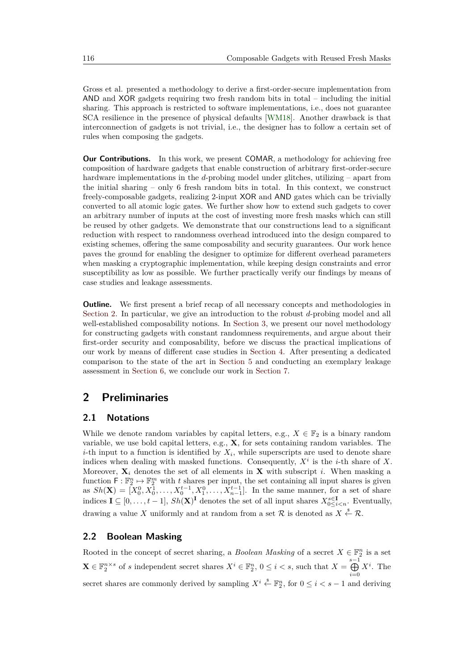Gross et al. presented a methodology to derive a first-order-secure implementation from AND and XOR gadgets requiring two fresh random bits in total – including the initial sharing. This approach is restricted to software implementations, i.e., does not guarantee SCA resilience in the presence of physical defaults [\[WM18\]](#page-26-5). Another drawback is that interconnection of gadgets is not trivial, i.e., the designer has to follow a certain set of rules when composing the gadgets.

**Our Contributions.** In this work, we present COMAR, a methodology for achieving free composition of hardware gadgets that enable construction of arbitrary first-order-secure hardware implementations in the *d*-probing model under glitches, utilizing – apart from the initial sharing – only 6 fresh random bits in total. In this context, we construct freely-composable gadgets, realizing 2-input XOR and AND gates which can be trivially converted to all atomic logic gates. We further show how to extend such gadgets to cover an arbitrary number of inputs at the cost of investing more fresh masks which can still be reused by other gadgets. We demonstrate that our constructions lead to a significant reduction with respect to randomness overhead introduced into the design compared to existing schemes, offering the same composability and security guarantees. Our work hence paves the ground for enabling the designer to optimize for different overhead parameters when masking a cryptographic implementation, while keeping design constraints and error susceptibility as low as possible. We further practically verify our findings by means of case studies and leakage assessments.

**Outline.** We first present a brief recap of all necessary concepts and methodologies in [Section 2.](#page-2-0) In particular, we give an introduction to the robust *d*-probing model and all well-established composability notions. In [Section 3,](#page-6-0) we present our novel methodology for constructing gadgets with constant randomness requirements, and argue about their first-order security and composability, before we discuss the practical implications of our work by means of different case studies in [Section 4.](#page-13-0) After presenting a dedicated comparison to the state of the art in [Section 5](#page-18-0) and conducting an exemplary leakage assessment in [Section 6,](#page-20-0) we conclude our work in [Section 7.](#page-22-0)

## <span id="page-2-0"></span>**2 Preliminaries**

### **2.1 Notations**

While we denote random variables by capital letters, e.g.,  $X \in \mathbb{F}_2$  is a binary random variable, we use bold capital letters, e.g., **X**, for sets containing random variables. The *i*-th input to a function is identified by  $X_i$ , while superscripts are used to denote share indices when dealing with masked functions. Consequently,  $X^i$  is the *i*-th share of X. Moreover,  $\mathbf{X}_i$  denotes the set of all elements in  $\mathbf{X}$  with subscript *i*. When masking a function  $\mathsf{F} : \mathbb{F}_2^n \to \mathbb{F}_2^m$  with *t* shares per input, the set containing all input shares is given as  $Sh(\mathbf{X}) = [X_0^0, X_0^{\bar{1}}, \dots, X_0^{t-1}, X_1^0, \dots, X_{n-1}^{t-1}]$ . In the same manner, for a set of share indices  $I ⊆ [0, ..., t − 1], Sh(X)<sup>I</sup>$  denotes the set of all input shares  $X_{0 \le i \le n}^{s \in I}$ . Eventually, drawing a value X uniformly and at random from a set R is denoted as  $X \stackrel{\$}{\leftarrow} \mathcal{R}$ .

## <span id="page-2-1"></span>**2.2 Boolean Masking**

Rooted in the concept of secret sharing, a *Boolean Masking* of a secret  $X \in \mathbb{F}_2^n$  is a set  $\mathbf{X} \in \mathbb{F}_2^{n \times s}$  of *s* independent secret shares  $X^i \in \mathbb{F}_2^n$ ,  $0 \leq i < s$ , such that  $X = \bigoplus^{s-1}$ *i*=0  $X^i$ . The secret shares are commonly derived by sampling  $X^i \stackrel{s}{\leftarrow} \mathbb{F}_2^n$ , for  $0 \leq i < s - 1$  and deriving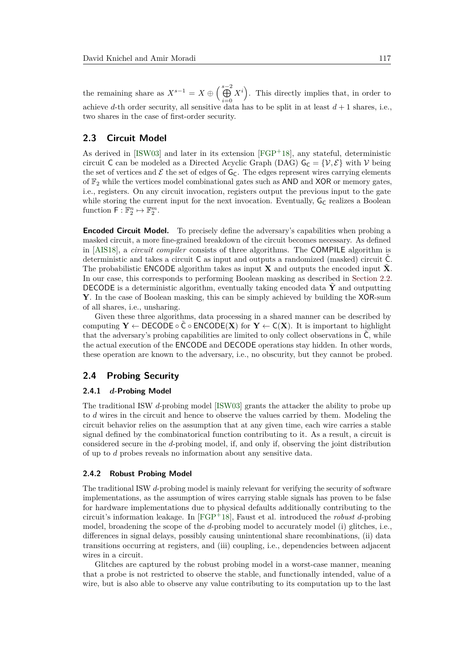the remaining share as  $X^{s-1} = X \oplus \left(\bigoplus^{s-2} X\right)$ *i*=0  $X^i$ ). This directly implies that, in order to achieve *d*-th order security, all sensitive data has to be split in at least  $d+1$  shares, i.e., two shares in the case of first-order security.

### **2.3 Circuit Model**

As derived in [\[ISW03\]](#page-25-4) and later in its extension [\[FGP](#page-25-7)<sup>+</sup>18], any stateful, deterministic circuit C can be modeled as a Directed Acyclic Graph (DAG)  $G_C = \{V, E\}$  with V being the set of vertices and  $\mathcal E$  the set of edges of  $G_C$ . The edges represent wires carrying elements of  $\mathbb{F}_2$  while the vertices model combinational gates such as AND and XOR or memory gates, i.e., registers. On any circuit invocation, registers output the previous input to the gate while storing the current input for the next invocation. Eventually,  $G_C$  realizes a Boolean function  $\mathsf{F} : \mathbb{F}_2^n \mapsto \mathbb{F}_2^m$ .

**Encoded Circuit Model.** To precisely define the adversary's capabilities when probing a masked circuit, a more fine-grained breakdown of the circuit becomes necessary. As defined in [\[AIS18\]](#page-22-1), a *circuit compiler* consists of three algorithms. The COMPILE algorithm is deterministic and takes a circuit C as input and outputs a randomized (masked) circuit C˜. The probabilistic **ENCODE** algorithm takes as input **X** and outputs the encoded input  $\hat{\mathbf{X}}$ . In our case, this corresponds to performing Boolean masking as described in [Section 2.2.](#page-2-1) DECODE is a deterministic algorithm, eventually taking encoded data  $\hat{Y}$  and outputting **Y**. In the case of Boolean masking, this can be simply achieved by building the XOR-sum of all shares, i.e., unsharing.

Given these three algorithms, data processing in a shared manner can be described by computing  $Y \leftarrow$  DECODE  $\circ \tilde{C} \circ \text{ENCODE}(\mathbf{X})$  for  $Y \leftarrow C(\mathbf{X})$ . It is important to highlight that the adversary's probing capabilities are limited to only collect observations in C, while the actual execution of the ENCODE and DECODE operations stay hidden. In other words, these operation are known to the adversary, i.e., no obscurity, but they cannot be probed.

## **2.4 Probing Security**

#### **2.4.1** *d***-Probing Model**

The traditional ISW *d*-probing model [\[ISW03\]](#page-25-4) grants the attacker the ability to probe up to *d* wires in the circuit and hence to observe the values carried by them. Modeling the circuit behavior relies on the assumption that at any given time, each wire carries a stable signal defined by the combinatorical function contributing to it. As a result, a circuit is considered secure in the *d*-probing model, if, and only if, observing the joint distribution of up to *d* probes reveals no information about any sensitive data.

### **2.4.2 Robust Probing Model**

The traditional ISW *d*-probing model is mainly relevant for verifying the security of software implementations, as the assumption of wires carrying stable signals has proven to be false for hardware implementations due to physical defaults additionally contributing to the circuit's information leakage. In [\[FGP](#page-25-7)<sup>+</sup>18], Faust et al. introduced the *robust d*-probing model, broadening the scope of the *d*-probing model to accurately model (i) glitches, i.e., differences in signal delays, possibly causing unintentional share recombinations, (ii) data transitions occurring at registers, and (iii) coupling, i.e., dependencies between adjacent wires in a circuit.

Glitches are captured by the robust probing model in a worst-case manner, meaning that a probe is not restricted to observe the stable, and functionally intended, value of a wire, but is also able to observe any value contributing to its computation up to the last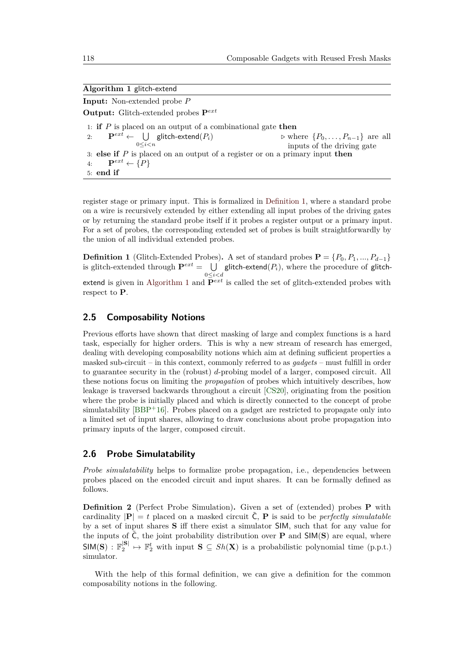<span id="page-4-1"></span>

|  | Algorithm 1 glitch-extend |
|--|---------------------------|
|  |                           |

**Input:** Non-extended probe *P* **Output:** Glitch-extended probes **P***ext* 1: **if** *P* is placed on an output of a combinational gate **then** 2:  $\mathbf{P}^{ext} \leftarrow \cup$ 0≤*i<n*  $\triangleright$  where  $\{P_0, \ldots, P_{n-1}\}\$  are all inputs of the driving gate 3: **else if** *P* is placed on an output of a register or on a primary input **then** 4:  $\mathbf{P}^{ext} \leftarrow \{P\}$ 5: **end if**

register stage or primary input. This is formalized in [Definition 1,](#page-4-0) where a standard probe on a wire is recursively extended by either extending all input probes of the driving gates or by returning the standard probe itself if it probes a register output or a primary input. For a set of probes, the corresponding extended set of probes is built straightforwardly by the union of all individual extended probes.

<span id="page-4-0"></span>**Definition 1** (Glitch-Extended Probes). A set of standard probes  $\mathbf{P} = \{P_0, P_1, ..., P_{d-1}\}\$ is glitch-extended through  $\mathbf{P}^{ext} = \bigcup$  glitch-extend( $P_i$ ), where the procedure of glitch-0≤*i<d* extend is given in [Algorithm 1](#page-4-1) and  $\mathbf{P}^{ext}$  is called the set of glitch-extended probes with respect to **P**.

## **2.5 Composability Notions**

Previous efforts have shown that direct masking of large and complex functions is a hard task, especially for higher orders. This is why a new stream of research has emerged, dealing with developing composability notions which aim at defining sufficient properties a masked sub-circuit – in this context, commonly referred to as *gadgets* – must fulfill in order to guarantee security in the (robust) *d*-probing model of a larger, composed circuit. All these notions focus on limiting the *propagation* of probes which intuitively describes, how leakage is traversed backwards throughout a circuit [\[CS20\]](#page-24-3), originating from the position where the probe is initially placed and which is directly connected to the concept of probe simulatability  $[BBP+16]$  $[BBP+16]$ . Probes placed on a gadget are restricted to propagate only into a limited set of input shares, allowing to draw conclusions about probe propagation into primary inputs of the larger, composed circuit.

### **2.6 Probe Simulatability**

*Probe simulatability* helps to formalize probe propagation, i.e., dependencies between probes placed on the encoded circuit and input shares. It can be formally defined as follows.

**Definition 2** (Perfect Probe Simulation)**.** Given a set of (extended) probes **P** with cardinality  $|\mathbf{P}| = t$  placed on a masked circuit  $\hat{\mathbf{C}}, \mathbf{P}$  is said to be *perfectly simulatable* by a set of input shares **S** iff there exist a simulator SIM, such that for any value for the inputs of  $\tilde{C}$ , the joint probability distribution over **P** and  $\text{SIM}(S)$  are equal, where  $\mathsf{SIM}(S) : \mathbb{F}_2^{|S|} \to \mathbb{F}_2^t$  with input  $S \subseteq Sh(X)$  is a probabilistic polynomial time (p.p.t.) simulator.

With the help of this formal definition, we can give a definition for the common composability notions in the following.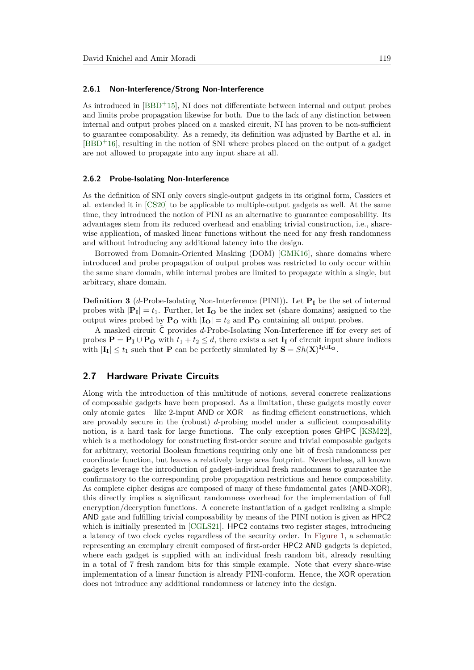#### **2.6.1 Non-Interference/Strong Non-Interference**

As introduced in [\[BBD](#page-23-5)<sup>+</sup>15], NI does not differentiate between internal and output probes and limits probe propagation likewise for both. Due to the lack of any distinction between internal and output probes placed on a masked circuit, NI has proven to be non-sufficient to guarantee composability. As a remedy, its definition was adjusted by Barthe et al. in  $[BBD+16]$  $[BBD+16]$ , resulting in the notion of SNI where probes placed on the output of a gadget are not allowed to propagate into any input share at all.

#### **2.6.2 Probe-Isolating Non-Interference**

As the definition of SNI only covers single-output gadgets in its original form, Cassiers et al. extended it in [\[CS20\]](#page-24-3) to be applicable to multiple-output gadgets as well. At the same time, they introduced the notion of PINI as an alternative to guarantee composability. Its advantages stem from its reduced overhead and enabling trivial construction, i.e., sharewise application, of masked linear functions without the need for any fresh randomness and without introducing any additional latency into the design.

Borrowed from Domain-Oriented Masking (DOM) [\[GMK16\]](#page-25-11), share domains where introduced and probe propagation of output probes was restricted to only occur within the same share domain, while internal probes are limited to propagate within a single, but arbitrary, share domain.

**Definition 3** (*d*-Probe-Isolating Non-Interference (PINI))**.** Let **P<sup>I</sup>** be the set of internal probes with  $|\mathbf{P}_{I}| = t_1$ . Further, let  $I_{O}$  be the index set (share domains) assigned to the output wires probed by  $P_{\text{O}}$  with  $|I_{\text{O}}| = t_2$  and  $P_{\text{O}}$  containing all output probes.

A masked circuit C provides *d*-Probe-Isolating Non-Interference iff for every set of probes  $P = P_I \cup P_O$  with  $t_1 + t_2 \leq d$ , there exists a set  $I_I$  of circuit input share indices with  $|\mathbf{I}_{\mathbf{I}}| \leq t_1$  such that **P** can be perfectly simulated by  $\mathbf{S} = Sh(\mathbf{X})^{\mathbf{I}_{\mathbf{I}} \cup \mathbf{I}_{\mathbf{O}}}$ .

### <span id="page-5-0"></span>**2.7 Hardware Private Circuits**

Along with the introduction of this multitude of notions, several concrete realizations of composable gadgets have been proposed. As a limitation, these gadgets mostly cover only atomic gates – like 2-input  $AND$  or  $XOR -$  as finding efficient constructions, which are provably secure in the (robust) *d*-probing model under a sufficient composability notion, is a hard task for large functions. The only exception poses GHPC [\[KSM22\]](#page-25-9), which is a methodology for constructing first-order secure and trivial composable gadgets for arbitrary, vectorial Boolean functions requiring only one bit of fresh randomness per coordinate function, but leaves a relatively large area footprint. Nevertheless, all known gadgets leverage the introduction of gadget-individual fresh randomness to guarantee the confirmatory to the corresponding probe propagation restrictions and hence composability. As complete cipher designs are composed of many of these fundamental gates (AND-XOR), this directly implies a significant randomness overhead for the implementation of full encryption/decryption functions. A concrete instantiation of a gadget realizing a simple AND gate and fulfilling trivial composability by means of the PINI notion is given as HPC2 which is initially presented in [\[CGLS21\]](#page-24-1). HPC2 contains two register stages, introducing a latency of two clock cycles regardless of the security order. In [Figure 1,](#page-6-1) a schematic representing an exemplary circuit composed of first-order HPC2 AND gadgets is depicted, where each gadget is supplied with an individual fresh random bit, already resulting in a total of 7 fresh random bits for this simple example. Note that every share-wise implementation of a linear function is already PINI-conform. Hence, the XOR operation does not introduce any additional randomness or latency into the design.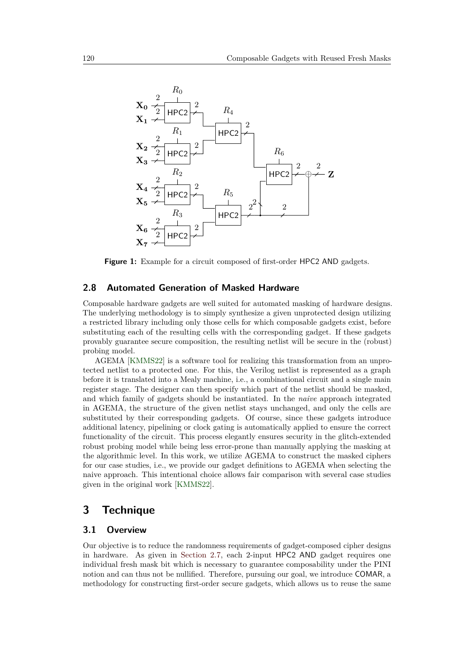<span id="page-6-1"></span>

**Figure 1:** Example for a circuit composed of first-order HPC2 AND gadgets.

### <span id="page-6-2"></span>**2.8 Automated Generation of Masked Hardware**

Composable hardware gadgets are well suited for automated masking of hardware designs. The underlying methodology is to simply synthesize a given unprotected design utilizing a restricted library including only those cells for which composable gadgets exist, before substituting each of the resulting cells with the corresponding gadget. If these gadgets provably guarantee secure composition, the resulting netlist will be secure in the (robust) probing model.

AGEMA [\[KMMS22\]](#page-25-12) is a software tool for realizing this transformation from an unprotected netlist to a protected one. For this, the Verilog netlist is represented as a graph before it is translated into a Mealy machine, i.e., a combinational circuit and a single main register stage. The designer can then specify which part of the netlist should be masked, and which family of gadgets should be instantiated. In the *naive* approach integrated in AGEMA, the structure of the given netlist stays unchanged, and only the cells are substituted by their corresponding gadgets. Of course, since these gadgets introduce additional latency, pipelining or clock gating is automatically applied to ensure the correct functionality of the circuit. This process elegantly ensures security in the glitch-extended robust probing model while being less error-prone than manually applying the masking at the algorithmic level. In this work, we utilize AGEMA to construct the masked ciphers for our case studies, i.e., we provide our gadget definitions to AGEMA when selecting the naive approach. This intentional choice allows fair comparison with several case studies given in the original work [\[KMMS22\]](#page-25-12).

## <span id="page-6-0"></span>**3 Technique**

### **3.1 Overview**

Our objective is to reduce the randomness requirements of gadget-composed cipher designs in hardware. As given in [Section 2.7,](#page-5-0) each 2-input HPC2 AND gadget requires one individual fresh mask bit which is necessary to guarantee composability under the PINI notion and can thus not be nullified. Therefore, pursuing our goal, we introduce COMAR, a methodology for constructing first-order secure gadgets, which allows us to reuse the same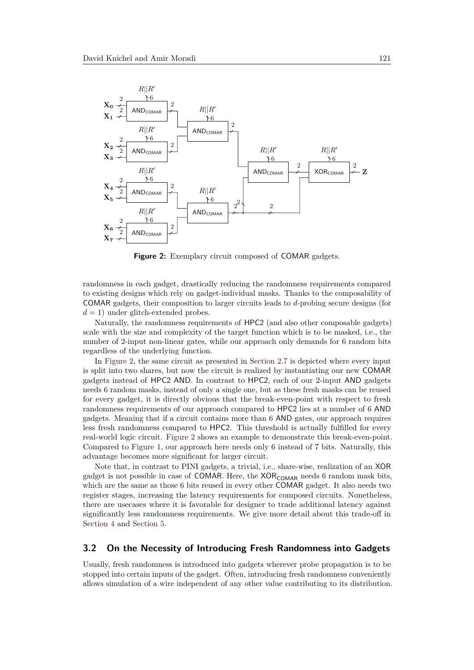<span id="page-7-0"></span>

**Figure 2:** Exemplary circuit composed of COMAR gadgets.

randomness in each gadget, drastically reducing the randomness requirements compared to existing designs which rely on gadget-individual masks. Thanks to the composability of COMAR gadgets, their composition to larger circuits leads to *d*-probing secure designs (for  $d = 1$ ) under glitch-extended probes.

Naturally, the randomness requirements of HPC2 (and also other composable gadgets) scale with the size and complexity of the target function which is to be masked, i.e., the number of 2-input non-linear gates, while our approach only demands for 6 random bits regardless of the underlying function.

In [Figure 2,](#page-7-0) the same circuit as presented in [Section 2.7](#page-5-0) is depicted where every input is split into two shares, but now the circuit is realized by instantiating our new COMAR gadgets instead of HPC2 AND. In contrast to HPC2, each of our 2-input AND gadgets needs 6 random masks, instead of only a single one, but as these fresh masks can be reused for every gadget, it is directly obvious that the break-even-point with respect to fresh randomness requirements of our approach compared to HPC2 lies at a number of 6 AND gadgets. Meaning that if a circuit contains more than 6 AND gates, our approach requires less fresh randomness compared to HPC2. This threshold is actually fulfilled for every real-world logic circuit. [Figure 2](#page-7-0) shows an example to demonstrate this break-even-point. Compared to [Figure 1,](#page-6-1) our approach here needs only 6 instead of 7 bits. Naturally, this advantage becomes more significant for larger circuit.

Note that, in contrast to PINI gadgets, a trivial, i.e., share-wise, realization of an XOR gadget is not possible in case of COMAR. Here, the  $XOR_{COMAR}$  needs 6 random mask bits, which are the same as those 6 bits reused in every other COMAR gadget. It also needs two register stages, increasing the latency requirements for composed circuits. Nonetheless, there are usecases where it is favorable for designer to trade additional latency against significantly less randomness requirements. We give more detail about this trade-off in [Section 4](#page-13-0) and [Section 5.](#page-18-0)

## **3.2 On the Necessity of Introducing Fresh Randomness into Gadgets**

Usually, fresh randomness is introduced into gadgets wherever probe propagation is to be stopped into certain inputs of the gadget. Often, introducing fresh randomness conveniently allows simulation of a wire independent of any other value contributing to its distribution.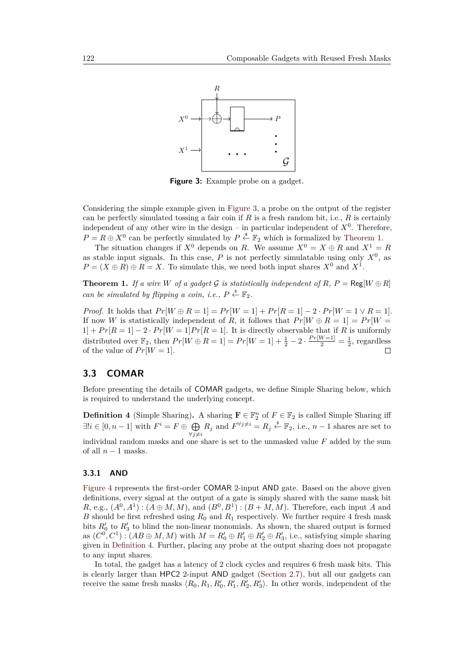<span id="page-8-0"></span>

**Figure 3:** Example probe on a gadget.

Considering the simple example given in [Figure 3,](#page-8-0) a probe on the output of the register can be perfectly simulated tossing a fair coin if *R* is a fresh random bit, i.e., *R* is certainly independent of any other wire in the design  $-$  in particular independent of  $X<sup>0</sup>$ . Therefore,  $P = R \oplus X^0$  can be perfectly simulated by  $P \stackrel{\$}{\leftarrow} \mathbb{F}_2$  which is formalized by [Theorem 1.](#page-8-1)

The situation changes if  $X^0$  depends on *R*. We assume  $X^0 = X \oplus R$  and  $X^1 = R$ as stable input signals. In this case,  $P$  is not perfectly simulatable using only  $X^0$ , as  $P = (X \oplus R) \oplus R = X$ . To simulate this, we need both input shares  $X^0$  and  $X^1$ .

<span id="page-8-1"></span>**Theorem 1.** If a wire W of a gadget G is statistically independent of R,  $P = \text{Reg}[W \oplus R]$ *can be simulated by flipping a coin, i.e.,*  $P \overset{\$}{\leftarrow} \mathbb{F}_2$ .

*Proof.* It holds that  $Pr[W \oplus R = 1] = Pr[W = 1] + Pr[R = 1] - 2 \cdot Pr[W = 1 \vee R = 1]$ . If now *W* is statistically independent of *R*, it follows that  $Pr[W \oplus R = 1] = Pr[W =$  $1] + Pr[R = 1] - 2 \cdot Pr[W = 1] Pr[R = 1]$ . It is directly observable that if *R* is uniformly distributed over  $\mathbb{F}_2$ , then  $Pr[W \oplus R = 1] = Pr[W = 1] + \frac{1}{2} - 2 \cdot \frac{Pr[W=1]}{2} = \frac{1}{2}$ , regardless of the value of  $Pr[W = 1]$ .  $\Box$ 

## **3.3 COMAR**

Before presenting the details of COMAR gadgets, we define Simple Sharing below, which is required to understand the underlying concept.

<span id="page-8-2"></span>**Definition 4** (Simple Sharing). A sharing  $\mathbf{F} \in \mathbb{F}_2^n$  of  $F \in \mathbb{F}_2$  is called Simple Sharing iff  $\exists ! i \in [0, n-1]$  with  $F^i = F \oplus \bigoplus$  $\bigoplus_{\forall j\neq i} R_j$  and  $F^{\forall j\neq i} = R_j \stackrel{\text{s}}{\leftarrow} \mathbb{F}_2$ , i.e.,  $n-1$  shares are set to individual random masks and one share is set to the unmasked value *F* added by the sum of all  $n-1$  masks.

#### **3.3.1 AND**

[Figure 4](#page-9-0) represents the first-order COMAR 2-input AND gate. Based on the above given definitions, every signal at the output of a gate is simply shared with the same mask bit  $R$ , e.g.,  $(A^0, A^1)$ :  $(A \oplus M, M)$ , and  $(B^0, B^1)$ :  $(B + M, M)$ . Therefore, each input *A* and *B* should be first refreshed using  $R_0$  and  $R_1$  respectively. We further require 4 fresh mask bits  $R'_0$  to  $R'_3$  to blind the non-linear monomials. As shown, the shared output is formed as  $(C^0, C^1)$ :  $(AB \oplus M, M)$  with  $M = R'_0 \oplus R'_1 \oplus R'_2 \oplus R'_3$ , i.e., satisfying simple sharing given in [Definition 4.](#page-8-2) Further, placing any probe at the output sharing does not propagate to any input shares.

In total, the gadget has a latency of 2 clock cycles and requires 6 fresh mask bits. This is clearly larger than HPC2 2-input AND gadget [\(Section 2.7\)](#page-5-0), but all our gadgets can receive the same fresh masks  $\langle R_0, R_1, R'_0, R'_1, R'_2, R'_3 \rangle$ . In other words, independent of the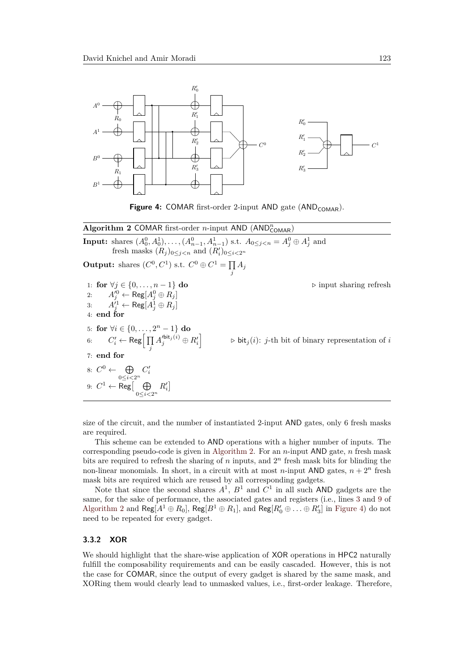<span id="page-9-0"></span>

**Figure 4:** COMAR first-order 2-input AND gate  $(AND_{COMAR})$ .

## <span id="page-9-1"></span>**Algorithm 2 COMAR** first-order *n*-input AND (AND<sup>*n*</sup>COMAR)</sub>

**Input:** shares  $(A_0^0, A_0^1), \ldots, (A_{n-1}^0, A_{n-1}^1)$  s.t.  $A_{0 \le j \le n} = A_j^0 \oplus A_j^1$  and fresh masks  $(R_j)_{0 \leq j < n}$  and  $(R'_i)_{0 \leq i < 2^n}$ **Output:** shares  $(C^0, C^1)$  s.t.  $C^0 \oplus C^1 = \prod$  $\prod_j A_j$ 1: **for**  $\forall j \in \{0, \ldots, n-1\}$  **do**  $\triangleright$  input sharing refresh 2:  $A'^0_j \leftarrow \text{Reg}[A^0_j \oplus R_j]$ 3:  $A_j^{i_1} \leftarrow \text{Reg}[A_j^1 \oplus R_j]$ 4: **end for** 5: **for**  $\forall i \in \{0, ..., 2^n - 1\}$  **do** 6:  $C'_i \leftarrow \mathsf{Reg}\Big[\prod_j$  $A'^{\mathsf{bit}_j(i)}_{j} \oplus R'_i$  $\triangleright$   $\mathsf{bit}_j(i)$ : *j*-th bit of binary representation of *i* 7: **end for** 8:  $C^0 \leftarrow \oplus$ 0≤*i<*2*<sup>n</sup>*  $C_i'$ 9:  $C^1$  ← Reg $\begin{bmatrix} \oplus \end{bmatrix}$ 0≤*i<*2*<sup>n</sup>*  $R_i'$ 

size of the circuit, and the number of instantiated 2-input AND gates, only 6 fresh masks are required.

This scheme can be extended to AND operations with a higher number of inputs. The corresponding pseudo-code is given in [Algorithm 2.](#page-9-1) For an *n*-input AND gate, *n* fresh mask bits are required to refresh the sharing of  $n$  inputs, and  $2<sup>n</sup>$  fresh mask bits for blinding the non-linear monomials. In short, in a circuit with at most *n*-input AND gates,  $n + 2^n$  fresh mask bits are required which are reused by all corresponding gadgets.

Note that since the second shares  $A^1$ ,  $B^1$  and  $C^1$  in all such AND gadgets are the same, for the sake of performance, the associated gates and registers (i.e., lines [3](#page-9-1) and [9](#page-9-1) of [Algorithm 2](#page-9-1) and  $\text{Reg}[A^1 \oplus R_0]$ ,  $\text{Reg}[B^1 \oplus R_1]$ , and  $\text{Reg}[R'_0 \oplus \ldots \oplus R'_3]$  in [Figure 4\)](#page-9-0) do not need to be repeated for every gadget.

#### **3.3.2 XOR**

We should highlight that the share-wise application of XOR operations in HPC2 naturally fulfill the composability requirements and can be easily cascaded. However, this is not the case for COMAR, since the output of every gadget is shared by the same mask, and XORing them would clearly lead to unmasked values, i.e., first-order leakage. Therefore,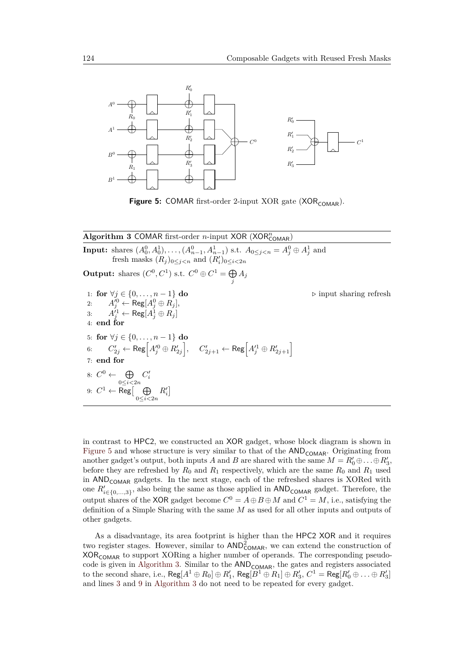<span id="page-10-0"></span>

**Figure 5:** COMAR first-order 2-input XOR gate (XOR<sub>COMAR</sub>).

## <span id="page-10-1"></span> $\overline{\textbf{Algorithm 3 COMAR first-order } n\text{-input XOR (XOR}_{COMAR)}^n}$

**Input:** shares  $(A_0^0, A_0^1), \ldots, (A_{n-1}^0, A_{n-1}^1)$  s.t.  $A_{0 \le j \le n} = A_j^0 \oplus A_j^1$  and fresh masks  $(R_j)_{0 \leq j < n}$  and  $(R'_i)_{0 \leq i < 2n}$ **Output:** shares  $(C^0, C^1)$  s.t.  $C^0 \oplus C^1 = \bigoplus A_j$ *j* 1: **for** ∀*j* ∈ {0*, . . . , n* − 1} **do** *.* input sharing refresh 2:  $A'^{0}_j \leftarrow \text{Reg}[A^0_j \oplus R_j],$ 3:  $A_j^{i_1} \leftarrow \text{Reg}[A_j^1 \oplus R_j]$ 4: **end for** 5: **for** ∀*j* ∈ {0*, . . . , n* − 1} **do**  $\mathcal{C}_{2j}' \leftarrow \mathsf{Reg}\Big[A_j^{\prime 0} \oplus R_{2j}'\Big], \quad C_{2j+1}' \leftarrow \mathsf{Reg}\Big[A_j^{\prime 1} \oplus R_{2j+1}'\Big]$ 7: **end for** 8:  $C^0 \leftarrow \oplus$ 0≤*i<*2*n*  $C_i'$ 9:  $C^1$  ← Reg $\lceil\;\;\; \oplus$ 0≤*i<*2*n*  $R_i'$ 

in contrast to HPC2, we constructed an XOR gadget, whose block diagram is shown in [Figure 5](#page-10-0) and whose structure is very similar to that of the  $AND_{COMAR}$ . Originating from another gadget's output, both inputs *A* and *B* are shared with the same  $M = R'_0 \oplus \ldots \oplus R'_3$ , before they are refreshed by  $R_0$  and  $R_1$  respectively, which are the same  $R_0$  and  $R_1$  used in  $AND_{COMAR}$  gadgets. In the next stage, each of the refreshed shares is XORed with one  $R'_{i \in \{0,\ldots,3\}}$ , also being the same as those applied in  $AND_{COMAR}$  gadget. Therefore, the output shares of the XOR gadget become  $C^0 = A \oplus B \oplus M$  and  $C^1 = M$ , i.e., satisfying the definition of a Simple Sharing with the same *M* as used for all other inputs and outputs of other gadgets.

As a disadvantage, its area footprint is higher than the HPC2 XOR and it requires two register stages. However, similar to  $AND_{COMAR}^2$ , we can extend the construction of  $XOR_{COMAR}$  to support  $XORing$  a higher number of operands. The corresponding pseudo-code is given in [Algorithm 3.](#page-10-1) Similar to the  $AND_{COMAR}$ , the gates and registers associated to the second share, i.e.,  $\text{Reg}[A^1 \oplus R_0] \oplus R'_1$ ,  $\text{Reg}[B^1 \oplus R_1] \oplus R'_3$ ,  $C^1 = \text{Reg}[R'_0 \oplus \ldots \oplus R'_3]$ and lines [3](#page-10-1) and [9](#page-10-1) in [Algorithm 3](#page-10-1) do not need to be repeated for every gadget.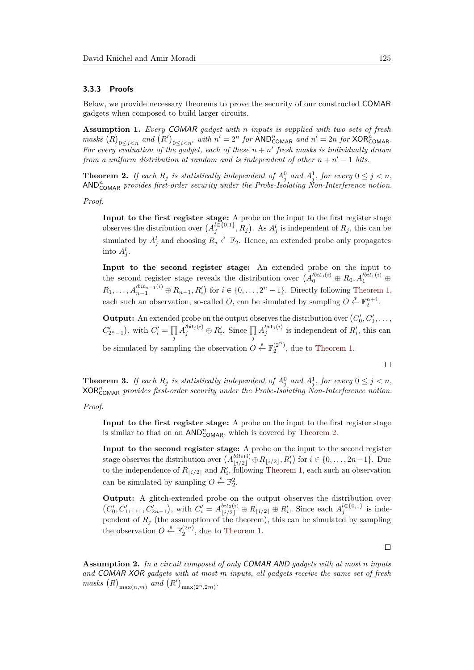#### <span id="page-11-2"></span>**3.3.3 Proofs**

Below, we provide necessary theorems to prove the security of our constructed COMAR gadgets when composed to build larger circuits.

**Assumption 1.** *Every* COMAR *gadget with n inputs is supplied with two sets of fresh*  $mass \left(R\right)_{0 \leq j \leq n}$  and  $\left(R'\right)_{0 \leq i \leq n'}$  with  $n' = 2^n$  for  $AND_{COMAR}^n$  and  $n' = 2n$  for  $XOR_{COMAR}^n$ . For every evaluation of the gadget, each of these  $n + n'$  fresh masks is individually drawn *from a uniform distribution at random and is independent of other*  $n + n' - 1$  *bits.* 

<span id="page-11-0"></span>**Theorem 2.** If each  $R_j$  is statistically independent of  $A_j^0$  and  $A_j^1$ , for every  $0 \leq j < n$ , AND*<sup>n</sup>* COMAR *provides first-order security under the Probe-Isolating Non-Interference notion.*

*Proof.*

**Input to the first register stage:** A probe on the input to the first register stage observes the distribution over  $(A_j^{l\in\{0,1\}}, R_j)$ . As  $A_j^l$  is independent of  $R_j$ , this can be simulated by  $A_j^l$  and choosing  $R_j \stackrel{s}{\leftarrow} \mathbb{F}_2$ . Hence, an extended probe only propagates into  $A_j^l$ .

**Input to the second register stage:** An extended probe on the input to the second register stage reveals the distribution over  $(A_0^{tbit_0(i)} \oplus R_0, A_1^{tbit_1(i)} \oplus$ *R*<sub>1</sub>*,* . . . *,*  $A_{n-1}^{lbit_{n-1}(i)} ⊕ R_{n-1}, R'_{i}$  for  $i ∈ \{0, ..., 2<sup>n</sup> − 1\}$ . Directly following [Theorem 1,](#page-8-1) each such an observation, so-called *O*, can be simulated by sampling  $O \overset{\$}{\leftarrow} \mathbb{F}_2^{n+1}$ .

**Output:** An extended probe on the output observes the distribution over  $(C'_0, C'_1, \ldots, C'_n)$  $C'_{2^n-1}$ , with  $C'_{i} = \prod$ *j*  $A_j^{\prime \text{bit}_j(i)} \oplus R_i^{\prime}$ . Since  $\prod$ *j*  $A_j^{\prime \text{bit}_j(i)}$  is independent of  $R'_i$ , this can be simulated by sampling the observation  $O \overset{\hspace{0.1em}s}{\leftarrow} \mathbb{F}_2^{(2^n)}$ , due to [Theorem 1.](#page-8-1)

**Theorem 3.** If each  $R_j$  is statistically independent of  $A_j^0$  and  $A_j^1$ , for every  $0 \leq j < n$ , XOR*<sup>n</sup>* COMAR *provides first-order security under the Probe-Isolating Non-Interference notion.*

*Proof.*

**Input to the first register stage:** A probe on the input to the first register stage is similar to that on an  $AND<sup>n</sup><sub>COMAR</sub>$ , which is covered by [Theorem 2.](#page-11-0)

**Input to the second register stage:** A probe on the input to the second register stage observes the distribution over  $(A_{\lfloor i/2 \rfloor}^{bit_0(i)} \oplus R_{\lfloor i/2 \rfloor}, R'_i)$  for  $i \in \{0, \ldots, 2n-1\}$ . Due to the independence of  $R_{\lfloor i/2 \rfloor}$  and  $R_i'$ , following [Theorem 1,](#page-8-1) each such an observation can be simulated by sampling  $O \overset{\hspace{0.1em}\mathsf{\scriptscriptstyle\$}}{\leftarrow} \mathbb{F}_2^2$ .

**Output:** A glitch-extended probe on the output observes the distribution over  $(C'_0, C'_1, \ldots, C'_{2n-1}),$  with  $C'_i = A^{bit_0(i)}_{\lfloor i/2 \rfloor} \oplus R_{\lfloor i/2 \rfloor} \oplus R'_i$ . Since each  $A_j^{l \in \{0,1\}}$  is independent of  $R_j$  (the assumption of the theorem), this can be simulated by sampling the observation  $O \overset{\hspace{0.1em}\mathsf{\scriptscriptstyle\$}}{\leftarrow} \mathbb{F}_2^{(2n)}$ , due to [Theorem 1.](#page-8-1)

 $\Box$ 

<span id="page-11-1"></span>**Assumption 2.** *In a circuit composed of only* COMAR AND *gadgets with at most n inputs and* COMAR XOR *gadgets with at most m inputs, all gadgets receive the same set of fresh*  $massks(R)_{\max(n,m)}$  and  $(R')_{\max(2^n,2m)}$ .

$$
\Box
$$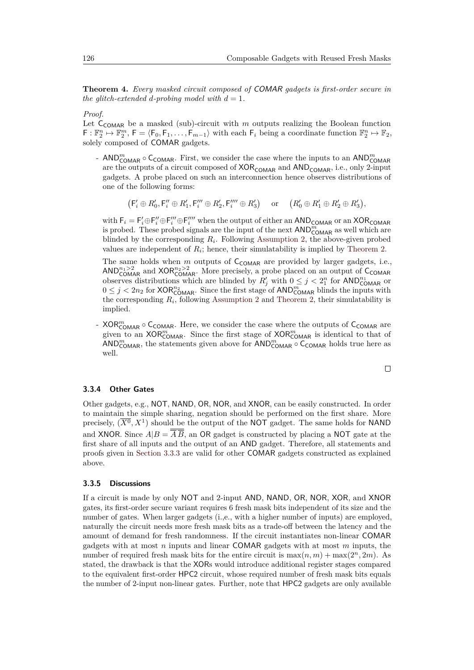**Theorem 4.** *Every masked circuit composed of* COMAR *gadgets is first-order secure in the glitch-extended d-probing model with*  $d = 1$ *.* 

*Proof.*

Let  $C_{COMAR}$  be a masked (sub)-circuit with  $m$  outputs realizing the Boolean function  $\mathsf{F} : \mathbb{F}_2^n \mapsto \mathbb{F}_2^m, \, \mathsf{F} = \langle \mathsf{F}_0, \mathsf{F}_1, \ldots, \mathsf{F}_{m-1} \rangle$  with each  $\mathsf{F}_i$  being a coordinate function  $\mathbb{F}_2^n \mapsto \mathbb{F}_2$ , solely composed of COMAR gadgets.

- AND<sub>COMAR</sub> ○ C<sub>COMAR</sub>. First, we consider the case where the inputs to an AND<sub>COMAR</sub> are the outputs of a circuit composed of  $XOR_{COMAR}$  and  $AND_{COMAR}$ , i.e., only 2-input gadgets. A probe placed on such an interconnection hence observes distributions of one of the following forms:

 $(F'_i \oplus R'_0, F''_i \oplus R'_1, F'''_i \oplus R'_2, F'''_i \oplus R'_3)$  or  $(R'_0 \oplus R'_1 \oplus R'_2 \oplus R'_3)$ ,

with  $F_i = F'_i \oplus F''_i \oplus F'''_i$  when the output of either an  $AND_{COMAR}$  or an  $XOR_{COMAR}$ is probed. These probed signals are the input of the next  $AND^m_{COMAR}$  as well which are blinded by the corresponding  $R_i$ . Following [Assumption 2,](#page-11-1) the above-given probed values are independent of  $R_i$ ; hence, their simulatability is implied by [Theorem 2.](#page-11-0)

The same holds when  $m$  outputs of  $C_{COMAR}$  are provided by larger gadgets, i.e., AND<sup>n<sub>1</sub>>2</sup><sub>COMAR</sub> and XOR<sup>n<sub>2</sub>>2</sub> More precisely, a probe placed on an output of C<sub>COMAR</sub></sup> observes distributions which are blinded by  $R'_j$  with  $0 \leq j < 2^n$  for  $AND^n_{COMAR}$  or  $0 \leq j < 2n_2$  for  $XOR_{COMAR}^{n_2}$ . Since the first stage of  $AND_{COMAR}^m$  blinds the inputs with the corresponding  $R_i$ , following [Assumption 2](#page-11-1) and [Theorem 2,](#page-11-0) their simulatability is implied.

- XOR<sub>COMAR</sub> ∘ С<sub>СОМАР</sub>. Here, we consider the case where the outputs of С<sub>СОМАР</sub> are given to an  $XOR^m_{COMAR}$ . Since the first stage of  $XOR^m_{COMAR}$  is identical to that of  $AND^m_{COMAR}$ , the statements given above for  $AND^m_{COMAR} \circ C_{COMAR}$  holds true here as well.

### $\Box$

### **3.3.4 Other Gates**

Other gadgets, e.g., NOT, NAND, OR, NOR, and XNOR, can be easily constructed. In order to maintain the simple sharing, negation should be performed on the first share. More precisely,  $(\overline{X^0}, X^1)$  should be the output of the NOT gadget. The same holds for NAND and XNOR. Since  $A/B = \overline{AB}$ , an OR gadget is constructed by placing a NOT gate at the first share of all inputs and the output of an AND gadget. Therefore, all statements and proofs given in [Section 3.3.3](#page-11-2) are valid for other COMAR gadgets constructed as explained above.

#### **3.3.5 Discussions**

If a circuit is made by only NOT and 2-input AND, NAND, OR, NOR, XOR, and XNOR gates, its first-order secure variant requires 6 fresh mask bits independent of its size and the number of gates. When larger gadgets (i.,e., with a higher number of inputs) are employed, naturally the circuit needs more fresh mask bits as a trade-off between the latency and the amount of demand for fresh randomness. If the circuit instantiates non-linear COMAR gadgets with at most *n* inputs and linear COMAR gadgets with at most *m* inputs, the number of required fresh mask bits for the entire circuit is  $\max(n, m) + \max(2^n, 2m)$ . As stated, the drawback is that the XORs would introduce additional register stages compared to the equivalent first-order HPC2 circuit, whose required number of fresh mask bits equals the number of 2-input non-linear gates. Further, note that HPC2 gadgets are only available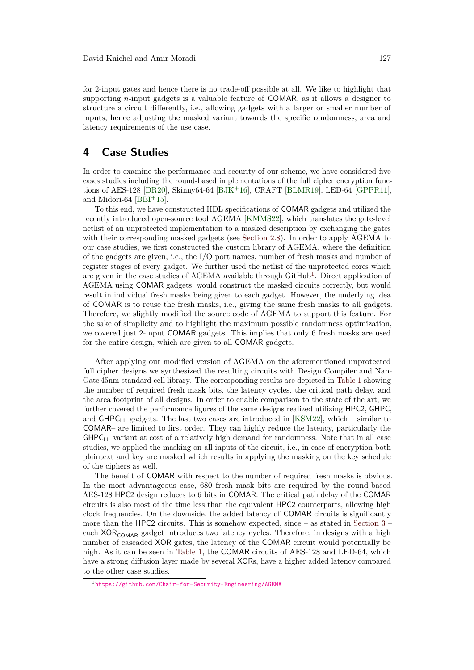for 2-input gates and hence there is no trade-off possible at all. We like to highlight that supporting *n*-input gadgets is a valuable feature of COMAR, as it allows a designer to structure a circuit differently, i.e., allowing gadgets with a larger or smaller number of inputs, hence adjusting the masked variant towards the specific randomness, area and latency requirements of the use case.

## <span id="page-13-0"></span>**4 Case Studies**

In order to examine the performance and security of our scheme, we have considered five cases studies including the round-based implementations of the full cipher encryption functions of AES-128 [\[DR20\]](#page-24-5), Skinny64-64 [\[BJK](#page-24-6)<sup>+</sup>16], CRAFT [\[BLMR19\]](#page-24-7), LED-64 [\[GPPR11\]](#page-25-13), and Midori-64  $[BBI<sup>+</sup>15]$  $[BBI<sup>+</sup>15]$ .

To this end, we have constructed HDL specifications of COMAR gadgets and utilized the recently introduced open-source tool AGEMA [\[KMMS22\]](#page-25-12), which translates the gate-level netlist of an unprotected implementation to a masked description by exchanging the gates with their corresponding masked gadgets (see [Section 2.8\)](#page-6-2). In order to apply AGEMA to our case studies, we first constructed the custom library of AGEMA, where the definition of the gadgets are given, i.e., the I/O port names, number of fresh masks and number of register stages of every gadget. We further used the netlist of the unprotected cores which are given in the case studies of AGEMA available through GitHub<sup>[1](#page-13-1)</sup>. Direct application of AGEMA using COMAR gadgets, would construct the masked circuits correctly, but would result in individual fresh masks being given to each gadget. However, the underlying idea of COMAR is to reuse the fresh masks, i.e., giving the same fresh masks to all gadgets. Therefore, we slightly modified the source code of AGEMA to support this feature. For the sake of simplicity and to highlight the maximum possible randomness optimization, we covered just 2-input COMAR gadgets. This implies that only 6 fresh masks are used for the entire design, which are given to all COMAR gadgets.

After applying our modified version of AGEMA on the aforementioned unprotected full cipher designs we synthesized the resulting circuits with Design Compiler and Nan-Gate 45nm standard cell library. The corresponding results are depicted in [Table 1](#page-15-0) showing the number of required fresh mask bits, the latency cycles, the critical path delay, and the area footprint of all designs. In order to enable comparison to the state of the art, we further covered the performance figures of the same designs realized utilizing HPC2, GHPC, and  $GHPC_{LL}$  gadgets. The last two cases are introduced in [\[KSM22\]](#page-25-9), which – similar to COMAR– are limited to first order. They can highly reduce the latency, particularly the  $GHPC_{LL}$  variant at cost of a relatively high demand for randomness. Note that in all case studies, we applied the masking on all inputs of the circuit, i.e., in case of encryption both plaintext and key are masked which results in applying the masking on the key schedule of the ciphers as well.

The benefit of COMAR with respect to the number of required fresh masks is obvious. In the most advantageous case, 680 fresh mask bits are required by the round-based AES-128 HPC2 design reduces to 6 bits in COMAR. The critical path delay of the COMAR circuits is also most of the time less than the equivalent HPC2 counterparts, allowing high clock frequencies. On the downside, the added latency of COMAR circuits is significantly more than the HPC2 circuits. This is somehow expected, since – as stated in [Section 3](#page-6-0) – each  $XOR_{COMAR}$  gadget introduces two latency cycles. Therefore, in designs with a high number of cascaded XOR gates, the latency of the COMAR circuit would potentially be high. As it can be seen in [Table 1,](#page-15-0) the COMAR circuits of AES-128 and LED-64, which have a strong diffusion layer made by several XORs, have a higher added latency compared to the other case studies.

<span id="page-13-1"></span><sup>1</sup><https://github.com/Chair-for-Security-Engineering/AGEMA>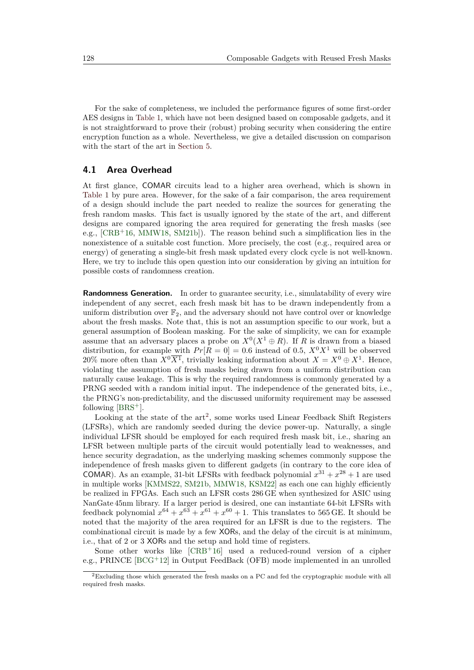For the sake of completeness, we included the performance figures of some first-order AES designs in [Table 1,](#page-15-0) which have not been designed based on composable gadgets, and it is not straightforward to prove their (robust) probing security when considering the entire encryption function as a whole. Nevertheless, we give a detailed discussion on comparison with the start of the art in [Section 5.](#page-18-0)

## <span id="page-14-1"></span>**4.1 Area Overhead**

At first glance, COMAR circuits lead to a higher area overhead, which is shown in [Table 1](#page-15-0) by pure area. However, for the sake of a fair comparison, the area requirement of a design should include the part needed to realize the sources for generating the fresh random masks. This fact is usually ignored by the state of the art, and different designs are compared ignoring the area required for generating the fresh masks (see e.g., [\[CRB](#page-24-8)<sup>+</sup>16, [MMW18,](#page-26-6) [SM21b\]](#page-26-7)). The reason behind such a simplification lies in the nonexistence of a suitable cost function. More precisely, the cost (e.g., required area or energy) of generating a single-bit fresh mask updated every clock cycle is not well-known. Here, we try to include this open question into our consideration by giving an intuition for possible costs of randomness creation.

**Randomness Generation.** In order to guarantee security, i.e., simulatability of every wire independent of any secret, each fresh mask bit has to be drawn independently from a uniform distribution over  $\mathbb{F}_2$ , and the adversary should not have control over or knowledge about the fresh masks. Note that, this is not an assumption specific to our work, but a general assumption of Boolean masking. For the sake of simplicity, we can for example assume that an adversary places a probe on  $X^0(X^1 \oplus R)$ . If *R* is drawn from a biased distribution, for example with  $Pr[R = 0] = 0.6$  instead of 0.5,  $X^0 X^1$  will be observed 20% more often than  $X^0\overline{X^1}$ , trivially leaking information about  $X = X^0 \oplus X^1$ . Hence, violating the assumption of fresh masks being drawn from a uniform distribution can naturally cause leakage. This is why the required randomness is commonly generated by a PRNG seeded with a random initial input. The independence of the generated bits, i.e., the PRNG's non-predictability, and the discussed uniformity requirement may be assessed following [\[BRS](#page-24-9)<sup>+</sup>].

Looking at the state of the  $art^2$  $art^2$ , some works used Linear Feedback Shift Registers (LFSRs), which are randomly seeded during the device power-up. Naturally, a single individual LFSR should be employed for each required fresh mask bit, i.e., sharing an LFSR between multiple parts of the circuit would potentially lead to weaknesses, and hence security degradation, as the underlying masking schemes commonly suppose the independence of fresh masks given to different gadgets (in contrary to the core idea of COMAR). As an example, 31-bit LFSRs with feedback polynomial  $x^{31} + x^{28} + 1$  are used in multiple works [\[KMMS22,](#page-25-12) [SM21b,](#page-26-7) [MMW18,](#page-26-6) [KSM22\]](#page-25-9) as each one can highly efficiently be realized in FPGAs. Each such an LFSR costs 286 GE when synthesized for ASIC using NanGate 45nm library. If a larger period is desired, one can instantiate 64-bit LFSRs with feedback polynomial  $x^{64} + x^{63} + x^{61} + x^{60} + 1$ . This translates to 565 GE. It should be noted that the majority of the area required for an LFSR is due to the registers. The combinational circuit is made by a few XORs, and the delay of the circuit is at minimum, i.e., that of 2 or 3 XORs and the setup and hold time of registers.

Some other works like  $[CRB+16]$  $[CRB+16]$  used a reduced-round version of a cipher e.g., PRINCE [\[BCG](#page-23-8)<sup>+</sup>12] in Output FeedBack (OFB) mode implemented in an unrolled

<span id="page-14-0"></span><sup>2</sup>Excluding those which generated the fresh masks on a PC and fed the cryptographic module with all required fresh masks.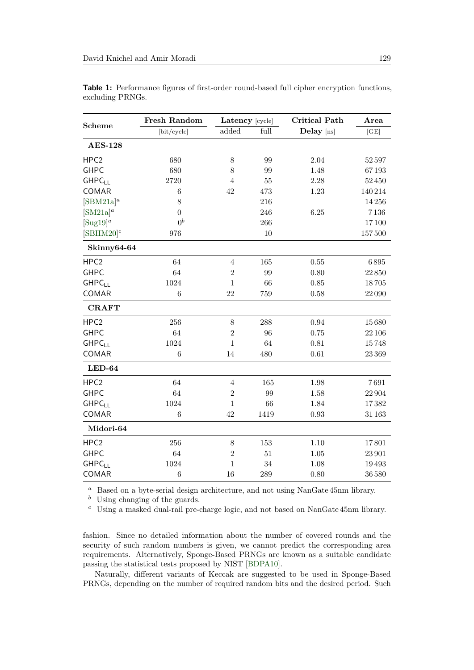|                  | Fresh Random     | Latency [cycle] |                   | <b>Critical Path</b> | Area   |
|------------------|------------------|-----------------|-------------------|----------------------|--------|
| <b>Scheme</b>    | [bit/cycle]      | added           | full              | Delay [ns]           | [GE]   |
| <b>AES-128</b>   |                  |                 |                   |                      |        |
| HPC <sub>2</sub> | 680              | 8               | 99                | 2.04                 | 52597  |
| <b>GHPC</b>      | 680              | 8               | 99                | 1.48                 | 67193  |
| <b>GHPCLL</b>    | 2720             | $\overline{4}$  | 55                | 2.28                 | 52450  |
| COMAR            | 6                | 42              | 473               | 1.23                 | 140214 |
| $[SBM21a]^a$     | 8                |                 | 216               |                      | 14256  |
| $[SM21a]^a$      | 0                |                 | 246               | 6.25                 | 7136   |
| $[Sug19]^{a}$    | $0^b$            |                 | 266               |                      | 17100  |
| $[SBHM20]^{c}$   | 976              |                 | 10                |                      | 157500 |
| Skinny64-64      |                  |                 |                   |                      |        |
| HPC <sub>2</sub> | 64               | $\overline{4}$  | 165               | $0.55\,$             | 6895   |
| <b>GHPC</b>      | 64               | $\overline{2}$  | 99                | 0.80                 | 22850  |
| <b>GHPCLL</b>    | 1024             | $\mathbf{1}$    | 66                | 0.85                 | 18705  |
| COMAR            | 6                | 22              | 759               | 0.58                 | 22090  |
| <b>CRAFT</b>     |                  |                 |                   |                      |        |
| HPC <sub>2</sub> | 256              | $8\,$           | 288               | 0.94                 | 15680  |
| <b>GHPC</b>      | 64               | $\overline{2}$  | 96                | 0.75                 | 22 106 |
| <b>GHPCLL</b>    | 1024             | $\mathbf{1}$    | 64                | 0.81                 | 15748  |
| COMAR            | 6                | 14              | 480               | 0.61                 | 23 369 |
| $LED-64$         |                  |                 |                   |                      |        |
| HPC <sub>2</sub> | 64               | $\overline{4}$  | 165               | 1.98                 | 7691   |
| <b>GHPC</b>      | 64               | $\overline{2}$  | $\boldsymbol{99}$ | 1.58                 | 22904  |
| <b>GHPCLL</b>    | 1024             | $\,1\,$         | 66                | 1.84                 | 17382  |
| COMAR            | $\boldsymbol{6}$ | 42              | 1419              | 0.93                 | 31 163 |
| Midori-64        |                  |                 |                   |                      |        |
| HPC <sub>2</sub> | 256              | $8\,$           | 153               | 1.10                 | 17801  |
| <b>GHPC</b>      | 64               | $\sqrt{2}$      | 51                | 1.05                 | 23 901 |
| <b>GHPCLL</b>    | 1024             | $\mathbf 1$     | 34                | 1.08                 | 19493  |
| COMAR            | $\overline{6}$   | 16              | 289               | 0.80                 | 36580  |

<span id="page-15-0"></span>**Table 1:** Performance figures of first-order round-based full cipher encryption functions, excluding PRNGs.

*<sup>a</sup>* Based on a byte-serial design architecture, and not using NanGate 45nm library.

*<sup>b</sup>* Using changing of the guards.

*<sup>c</sup>* Using a masked dual-rail pre-charge logic, and not based on NanGate 45nm library.

fashion. Since no detailed information about the number of covered rounds and the security of such random numbers is given, we cannot predict the corresponding area requirements. Alternatively, Sponge-Based PRNGs are known as a suitable candidate passing the statistical tests proposed by NIST [\[BDPA10\]](#page-23-9).

Naturally, different variants of Keccak are suggested to be used in Sponge-Based PRNGs, depending on the number of required random bits and the desired period. Such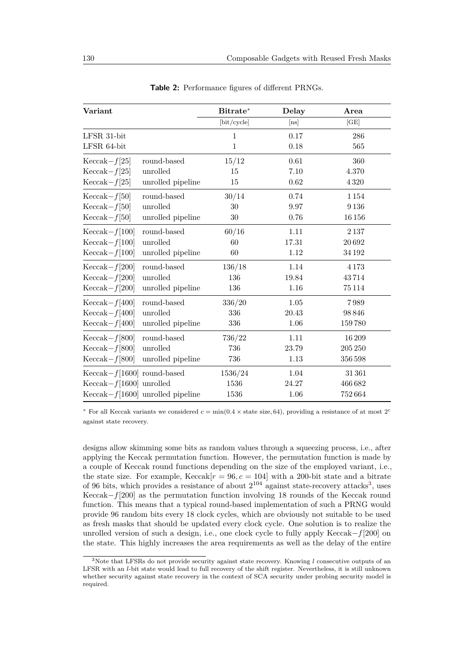<span id="page-16-1"></span>

| Variant                        |                                           | Bitrate*     | Delay | Area       |
|--------------------------------|-------------------------------------------|--------------|-------|------------|
|                                |                                           | [bit/cycle]  | [ns]  | [GE]       |
| $LFSR$ 31-bit                  |                                           | $\mathbf{1}$ | 0.17  | 286        |
| LFSR 64-bit                    |                                           | $\mathbf{1}$ | 0.18  | 565        |
| $Keccak-f[25]$                 | round-based                               | 15/12        | 0.61  | 360        |
| $Keccak-f[25]$                 | unrolled                                  | 15           | 7.10  | 4.370      |
| $\text{Keccak}-f[25]$          | unrolled pipeline                         | 15           | 0.62  | 4 3 2 0    |
| $Keccak-f[50]$                 | round-based                               | 30/14        | 0.74  | 1154       |
| $Keccak-f[50]$                 | unrolled                                  | 30           | 9.97  | 9136       |
| $Keccak-f[50]$                 | unrolled pipeline                         | 30           | 0.76  | 16156      |
| $\text{Keccak}-f[100]$         | round-based                               | 60/16        | 1.11  | 2137       |
| $Keccak-f[100]$                | unrolled                                  | 60           | 17.31 | 20692      |
| $Keccak-f[100]$                | unrolled pipeline                         | 60           | 1.12  | 34192      |
| $Keccak-f[200]$                | round-based                               | 136/18       | 1.14  | 4173       |
| $Keccak-f[200]$                | unrolled                                  | 136          | 19.84 | 43714      |
| $Keccak-f[200]$                | unrolled pipeline                         | 136          | 1.16  | 75114      |
| $Keccak-f[400]$                | round-based                               | 336/20       | 1.05  | 7989       |
| $Keccak-f[400]$                | unrolled                                  | 336          | 20.43 | 98846      |
| $Keccak-f[400]$                | unrolled pipeline                         | 336          | 1.06  | 159780     |
| $Keccak-f[800]$                | round-based                               | 736/22       | 1.11  | 16209      |
| $Keccak-f[800]$                | unrolled                                  | 736          | 23.79 | $205\,250$ |
| $Keccak-f[800]$                | unrolled pipeline                         | 736          | 1.13  | 356598     |
| Keccak- $f$ [1600] round-based |                                           | 1536/24      | 1.04  | 31361      |
| Keccak- $f[1600]$ unrolled     |                                           | 1536         | 24.27 | 466682     |
|                                | $\text{Keccak}-f[1600]$ unrolled pipeline | 1536         | 1.06  | 752664     |

**Table 2:** Performance figures of different PRNGs.

<sup>\*</sup> For all Keccak variants we considered  $c = \min(0.4 \times \text{state size}, 64)$ , providing a resistance of at most  $2^c$ against state recovery.

designs allow skimming some bits as random values through a squeezing process, i.e., after applying the Keccak permutation function. However, the permutation function is made by a couple of Keccak round functions depending on the size of the employed variant, i.e., the state size. For example,  $\text{Keccak}[r = 96, c = 104]$  with a 200-bit state and a bitrate of 96 bits, which provides a resistance of about  $2^{104}$  against state-recovery attacks<sup>[3](#page-16-0)</sup>, uses Keccak−*f*[200] as the permutation function involving 18 rounds of the Keccak round function. This means that a typical round-based implementation of such a PRNG would provide 96 random bits every 18 clock cycles, which are obviously not suitable to be used as fresh masks that should be updated every clock cycle. One solution is to realize the unrolled version of such a design, i.e., one clock cycle to fully apply Keccak−*f*[200] on the state. This highly increases the area requirements as well as the delay of the entire

<span id="page-16-0"></span><sup>3</sup>Note that LFSRs do not provide security against state recovery. Knowing *l* consecutive outputs of an LFSR with an *l*-bit state would lead to full recovery of the shift register. Nevertheless, it is still unknown whether security against state recovery in the context of SCA security under probing security model is required.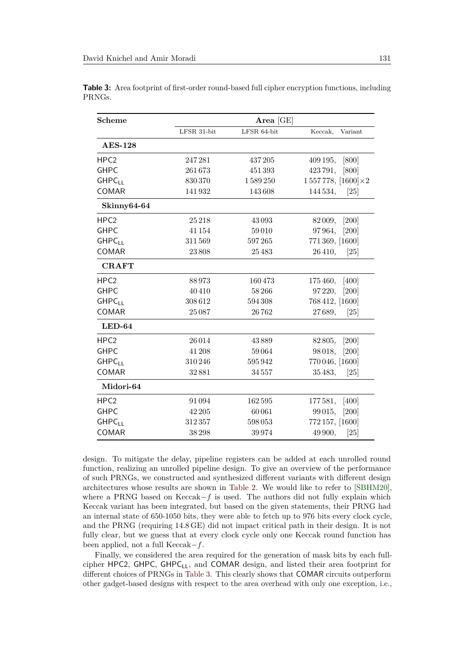| <b>Scheme</b>            |             | Area $[GE]$ |                               |
|--------------------------|-------------|-------------|-------------------------------|
|                          | LFSR 31-bit | LFSR 64-bit | Keccak,<br>Variant            |
| <b>AES-128</b>           |             |             |                               |
| HPC <sub>2</sub>         | 247281      | 437205      | 409 195,<br>[800]             |
| <b>GHPC</b>              | 261673      | 451393      | 423 791,<br>[800]             |
| <b>GHPC<sub>LL</sub></b> | 830370      | 1589250     | $1557778, [1600]\times 2$     |
| COMAR                    | 141932      | 143608      | $\left[25\right]$<br>144 534, |
| Skinny64-64              |             |             |                               |
| HPC <sub>2</sub>         | 25218       | 43093       | [200]<br>82 009,              |
| <b>GHPC</b>              | 41154       | 59010       | 97964,<br>[200]               |
| <b>GHPCLL</b>            | 311569      | 597265      | 771 369, [1600]               |
| COMAR                    | 23808       | 25483       | 26 410,<br>$\left[25\right]$  |
| <b>CRAFT</b>             |             |             |                               |
| HPC <sub>2</sub>         | 88973       | 160473      | 175 460,<br>$[400]$           |
| <b>GHPC</b>              | 40410       | 58266       | $[200]$<br>97 220,            |
| <b>GHPCLL</b>            | 308612      | 594308      | 768 412, [1600]               |
| COMAR                    | 25087       | 26762       | 27689,<br>$\left[25\right]$   |
| $LED-64$                 |             |             |                               |
| HPC <sub>2</sub>         | 26014       | 43889       | [200]<br>82 805,              |
| <b>GHPC</b>              | 41 208      | 59064       | 98 018,<br>$[200]$            |
| <b>GHPC<sub>LL</sub></b> | 310246      | 595942      | 770 046, [1600]               |
| COMAR                    | 32881       | 34557       | 35 483,<br>[25]               |
| Midori-64                |             |             |                               |
| HPC <sub>2</sub>         | 91094       | 162595      | 177 581, [400]                |
| <b>GHPC</b>              | 42 205      | 60061       | 99 015,<br>[200]              |
| <b>GHPCLL</b>            | 312357      | 598053      | 772 157, [1600]               |
| COMAR                    | 38298       | 39974       | 49 900,<br>[25]               |

<span id="page-17-0"></span>**Table 3:** Area footprint of first-order round-based full cipher encryption functions, including PRNGs.

design. To mitigate the delay, pipeline registers can be added at each unrolled round function, realizing an unrolled pipeline design. To give an overview of the performance of such PRNGs, we constructed and synthesized different variants with different design architectures whose results are shown in [Table 2.](#page-16-1) We would like to refer to [\[SBHM20\]](#page-26-11), where a PRNG based on Keccak−*f* is used. The authors did not fully explain which Keccak variant has been integrated, but based on the given statements, their PRNG had an internal state of 650-1050 bits, they were able to fetch up to 976 bits every clock cycle, and the PRNG (requiring 14.8 GE) did not impact critical path in their design. It is not fully clear, but we guess that at every clock cycle only one Keccak round function has been applied, not a full Keccak−*f*.

Finally, we considered the area required for the generation of mask bits by each fullcipher HPC2, GHPC, GHPC<sub>LL</sub>, and COMAR design, and listed their area footprint for different choices of PRNGs in [Table 3.](#page-17-0) This clearly shows that COMAR circuits outperform other gadget-based designs with respect to the area overhead with only one exception, i.e.,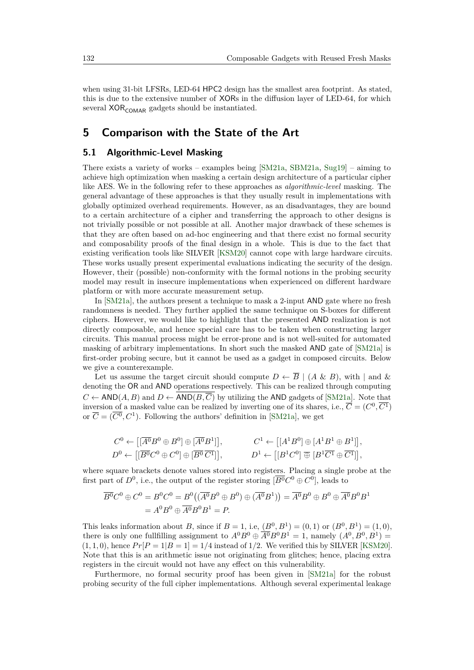when using 31-bit LFSRs, LED-64 HPC2 design has the smallest area footprint. As stated, this is due to the extensive number of XORs in the diffusion layer of LED-64, for which several  $XOR_{COMAR}$  gadgets should be instantiated.

## <span id="page-18-0"></span>**5 Comparison with the State of the Art**

## <span id="page-18-1"></span>**5.1 Algorithmic-Level Masking**

There exists a variety of works – examples being  $[SM21a, SBM21a, Sug19]$  $[SM21a, SBM21a, Sug19]$  $[SM21a, SBM21a, Sug19]$  $[SM21a, SBM21a, Sug19]$  $[SM21a, SBM21a, Sug19]$  – aiming to achieve high optimization when masking a certain design architecture of a particular cipher like AES. We in the following refer to these approaches as *algorithmic-level* masking. The general advantage of these approaches is that they usually result in implementations with globally optimized overhead requirements. However, as an disadvantages, they are bound to a certain architecture of a cipher and transferring the approach to other designs is not trivially possible or not possible at all. Another major drawback of these schemes is that they are often based on ad-hoc engineering and that there exist no formal security and composability proofs of the final design in a whole. This is due to the fact that existing verification tools like SILVER [\[KSM20\]](#page-25-8) cannot cope with large hardware circuits. These works usually present experimental evaluations indicating the security of the design. However, their (possible) non-conformity with the formal notions in the probing security model may result in insecure implementations when experienced on different hardware platform or with more accurate measurement setup.

In [\[SM21a\]](#page-26-9), the authors present a technique to mask a 2-input AND gate where no fresh randomness is needed. They further applied the same technique on S-boxes for different ciphers. However, we would like to highlight that the presented AND realization is not directly composable, and hence special care has to be taken when constructing larger circuits. This manual process might be error-prone and is not well-suited for automated masking of arbitrary implementations. In short such the masked AND gate of [\[SM21a\]](#page-26-9) is first-order probing secure, but it cannot be used as a gadget in composed circuits. Below we give a counterexample.

Let us assume the target circuit should compute  $D \leftarrow \overline{B} \mid (A \& B)$ , with  $|$  and  $\&$ denoting the OR and AND operations respectively. This can be realized through computing  $C \leftarrow AND(A, B)$  and  $D \leftarrow \overline{AND(B, \overline{C})}$  by utilizing the AND gadgets of [\[SM21a\]](#page-26-9). Note that inversion of a masked value can be realized by inverting one of its shares, i.e.,  $\overline{C} = (C^0, \overline{C^1})$ or  $\overline{C} = (\overline{C^0}, C^1)$ . Following the authors' definition in [\[SM21a\]](#page-26-9), we get

$$
C^0 \leftarrow \left[ [\overline{A^0} B^0 \oplus B^0] \oplus [\overline{A^0} B^1] \right], \qquad \qquad C^1 \leftarrow \left[ [A^1 B^0] \oplus [A^1 B^1 \oplus B^1] \right],
$$
  
\n
$$
D^0 \leftarrow \left[ [\overline{B^0} C^0 \oplus C^0] \oplus [\overline{B^0} \overline{C^1}] \right], \qquad \qquad D^1 \leftarrow \left[ [B^1 C^0] \oplus [B^1 \overline{C^1} \oplus \overline{C^1}] \right],
$$

where square brackets denote values stored into registers. Placing a single probe at the first part of  $D^0$ , i.e., the output of the register storing  $\overline{B^0}C^0 \oplus C^0$ , leads to

$$
\overline{B^0}C^0 \oplus C^0 = B^0C^0 = B^0((\overline{A^0}B^0 \oplus B^0) \oplus (\overline{A^0}B^1)) = \overline{A^0}B^0 \oplus B^0 \oplus \overline{A^0}B^0B^1
$$
  
=  $A^0B^0 \oplus \overline{A^0}B^0B^1 = P$ .

This leaks information about *B*, since if  $B = 1$ , i.e,  $(B^0, B^1) = (0, 1)$  or  $(B^0, B^1) = (1, 0)$ , there is only one fullfilling assignment to  $A^0B^0 \oplus \overline{A^0}B^0B^1 = 1$ , namely  $(A^0, B^0, B^1) =$  $(1,1,0)$ , hence  $Pr[P=1|B=1]=1/4$  instead of 1/2. We verified this by SILVER [\[KSM20\]](#page-25-8). Note that this is an arithmetic issue not originating from glitches; hence, placing extra registers in the circuit would not have any effect on this vulnerability.

Furthermore, no formal security proof has been given in [\[SM21a\]](#page-26-9) for the robust probing security of the full cipher implementations. Although several experimental leakage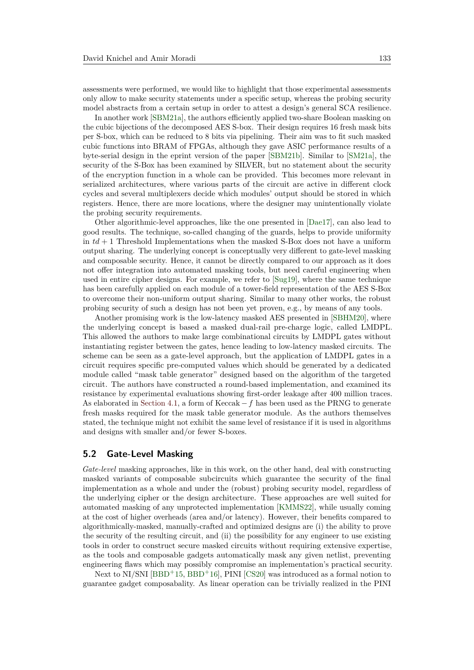assessments were performed, we would like to highlight that those experimental assessments only allow to make security statements under a specific setup, whereas the probing security model abstracts from a certain setup in order to attest a design's general SCA resilience.

In another work [\[SBM21a\]](#page-26-8), the authors efficiently applied two-share Boolean masking on the cubic bijections of the decomposed AES S-box. Their design requires 16 fresh mask bits per S-box, which can be reduced to 8 bits via pipelining. Their aim was to fit such masked cubic functions into BRAM of FPGAs, although they gave ASIC performance results of a byte-serial design in the eprint version of the paper [\[SBM21b\]](#page-26-12). Similar to [\[SM21a\]](#page-26-9), the security of the S-Box has been examined by SILVER, but no statement about the security of the encryption function in a whole can be provided. This becomes more relevant in serialized architectures, where various parts of the circuit are active in different clock cycles and several multiplexers decide which modules' output should be stored in which registers. Hence, there are more locations, where the designer may unintentionally violate the probing security requirements.

Other algorithmic-level approaches, like the one presented in [\[Dae17\]](#page-24-10), can also lead to good results. The technique, so-called changing of the guards, helps to provide uniformity in  $td+1$  Threshold Implementations when the masked S-Box does not have a uniform output sharing. The underlying concept is conceptually very different to gate-level masking and composable security. Hence, it cannot be directly compared to our approach as it does not offer integration into automated masking tools, but need careful engineering when used in entire cipher designs. For example, we refer to [\[Sug19\]](#page-26-10), where the same technique has been carefully applied on each module of a tower-field representation of the AES S-Box to overcome their non-uniform output sharing. Similar to many other works, the robust probing security of such a design has not been yet proven, e.g., by means of any tools.

Another promising work is the low-latency masked AES presented in [\[SBHM20\]](#page-26-11), where the underlying concept is based a masked dual-rail pre-charge logic, called LMDPL. This allowed the authors to make large combinational circuits by LMDPL gates without instantiating register between the gates, hence leading to low-latency masked circuits. The scheme can be seen as a gate-level approach, but the application of LMDPL gates in a circuit requires specific pre-computed values which should be generated by a dedicated module called "mask table generator" designed based on the algorithm of the targeted circuit. The authors have constructed a round-based implementation, and examined its resistance by experimental evaluations showing first-order leakage after 400 million traces. As elaborated in [Section 4.1,](#page-14-1) a form of Keccak −*f* has been used as the PRNG to generate fresh masks required for the mask table generator module. As the authors themselves stated, the technique might not exhibit the same level of resistance if it is used in algorithms and designs with smaller and/or fewer S-boxes.

### **5.2 Gate-Level Masking**

*Gate-level* masking approaches, like in this work, on the other hand, deal with constructing masked variants of composable subcircuits which guarantee the security of the final implementation as a whole and under the (robust) probing security model, regardless of the underlying cipher or the design architecture. These approaches are well suited for automated masking of any unprotected implementation [\[KMMS22\]](#page-25-12), while usually coming at the cost of higher overheads (area and/or latency). However, their benefits compared to algorithmically-masked, manually-crafted and optimized designs are (i) the ability to prove the security of the resulting circuit, and (ii) the possibility for any engineer to use existing tools in order to construct secure masked circuits without requiring extensive expertise, as the tools and composable gadgets automatically mask any given netlist, preventing engineering flaws which may possibly compromise an implementation's practical security.

Next to NI/SNI  $[BBD+15, BBD+16]$  $[BBD+15, BBD+16]$  $[BBD+15, BBD+16]$  $[BBD+15, BBD+16]$ , PINI  $[CS20]$  was introduced as a formal notion to guarantee gadget composabality. As linear operation can be trivially realized in the PINI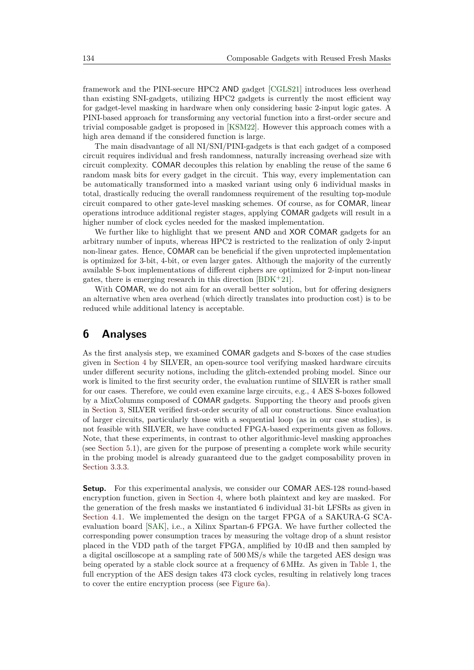framework and the PINI-secure HPC2 AND gadget [\[CGLS21\]](#page-24-1) introduces less overhead than existing SNI-gadgets, utilizing HPC2 gadgets is currently the most efficient way for gadget-level masking in hardware when only considering basic 2-input logic gates. A PINI-based approach for transforming any vectorial function into a first-order secure and trivial composable gadget is proposed in [\[KSM22\]](#page-25-9). However this approach comes with a high area demand if the considered function is large.

The main disadvantage of all NI/SNI/PINI-gadgets is that each gadget of a composed circuit requires individual and fresh randomness, naturally increasing overhead size with circuit complexity. COMAR decouples this relation by enabling the reuse of the same 6 random mask bits for every gadget in the circuit. This way, every implementation can be automatically transformed into a masked variant using only 6 individual masks in total, drastically reducing the overall randomness requirement of the resulting top-module circuit compared to other gate-level masking schemes. Of course, as for COMAR, linear operations introduce additional register stages, applying COMAR gadgets will result in a higher number of clock cycles needed for the masked implementation.

We further like to highlight that we present AND and XOR COMAR gadgets for an arbitrary number of inputs, whereas HPC2 is restricted to the realization of only 2-input non-linear gates. Hence, COMAR can be beneficial if the given unprotected implementation is optimized for 3-bit, 4-bit, or even larger gates. Although the majority of the currently available S-box implementations of different ciphers are optimized for 2-input non-linear gates, there is emerging research in this direction  $[BDK+21]$  $[BDK+21]$ .

With COMAR, we do not aim for an overall better solution, but for offering designers an alternative when area overhead (which directly translates into production cost) is to be reduced while additional latency is acceptable.

## <span id="page-20-0"></span>**6 Analyses**

As the first analysis step, we examined COMAR gadgets and S-boxes of the case studies given in [Section 4](#page-13-0) by SILVER, an open-source tool verifying masked hardware circuits under different security notions, including the glitch-extended probing model. Since our work is limited to the first security order, the evaluation runtime of SILVER is rather small for our cases. Therefore, we could even examine large circuits, e.g., 4 AES S-boxes followed by a MixColumns composed of COMAR gadgets. Supporting the theory and proofs given in [Section 3,](#page-6-0) SILVER verified first-order security of all our constructions. Since evaluation of larger circuits, particularly those with a sequential loop (as in our case studies), is not feasible with SILVER, we have conducted FPGA-based experiments given as follows. Note, that these experiments, in contrast to other algorithmic-level masking approaches (see [Section 5.1\)](#page-18-1), are given for the purpose of presenting a complete work while security in the probing model is already guaranteed due to the gadget composability proven in [Section 3.3.3.](#page-11-2)

**Setup.** For this experimental analysis, we consider our COMAR AES-128 round-based encryption function, given in [Section 4,](#page-13-0) where both plaintext and key are masked. For the generation of the fresh masks we instantiated 6 individual 31-bit LFSRs as given in [Section 4.1.](#page-14-1) We implemented the design on the target FPGA of a SAKURA-G SCAevaluation board [\[SAK\]](#page-26-13), i.e., a Xilinx Spartan-6 FPGA. We have further collected the corresponding power consumption traces by measuring the voltage drop of a shunt resistor placed in the VDD path of the target FPGA, amplified by 10 dB and then sampled by a digital oscilloscope at a sampling rate of 500 MS/s while the targeted AES design was being operated by a stable clock source at a frequency of 6 MHz. As given in [Table 1,](#page-15-0) the full encryption of the AES design takes 473 clock cycles, resulting in relatively long traces to cover the entire encryption process (see [Figure 6a\)](#page-21-0).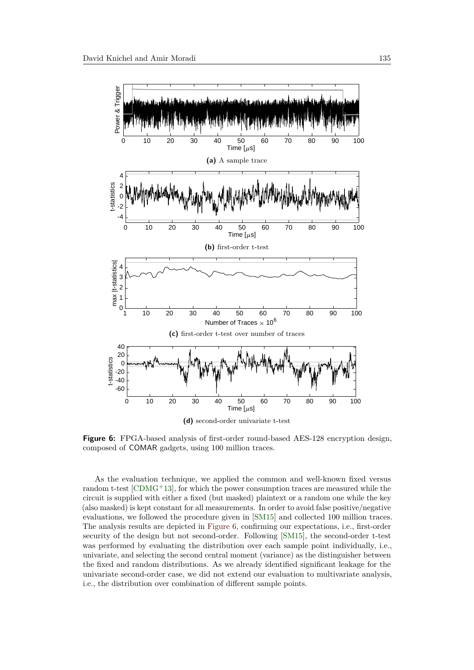<span id="page-21-1"></span><span id="page-21-0"></span>

**Figure 6:** FPGA-based analysis of first-order round-based AES-128 encryption design, composed of COMAR gadgets, using 100 million traces.

As the evaluation technique, we applied the common and well-known fixed versus random t-test  $[CDMG+13]$  $[CDMG+13]$ , for which the power consumption traces are measured while the circuit is supplied with either a fixed (but masked) plaintext or a random one while the key (also masked) is kept constant for all measurements. In order to avoid false positive/negative evaluations, we followed the procedure given in [\[SM15\]](#page-26-14) and collected 100 million traces. The analysis results are depicted in [Figure 6,](#page-21-1) confirming our expectations, i.e., first-order security of the design but not second-order. Following [\[SM15\]](#page-26-14), the second-order t-test was performed by evaluating the distribution over each sample point individually, i.e., univariate, and selecting the second central moment (variance) as the distinguisher between the fixed and random distributions. As we already identified significant leakage for the univariate second-order case, we did not extend our evaluation to multivariate analysis, i.e., the distribution over combination of different sample points.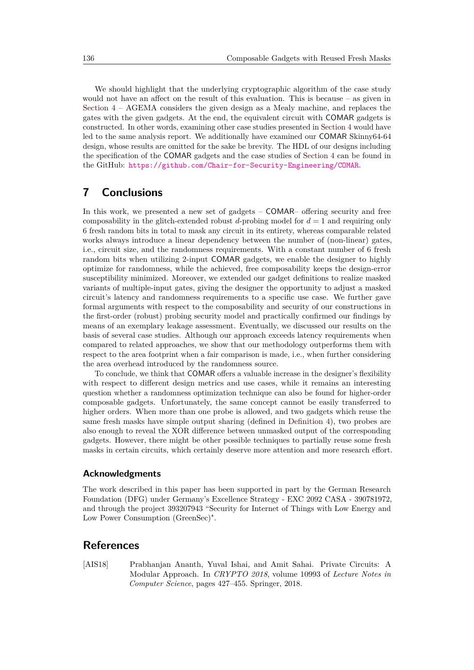We should highlight that the underlying cryptographic algorithm of the case study would not have an affect on the result of this evaluation. This is because – as given in [Section 4](#page-13-0) – AGEMA considers the given design as a Mealy machine, and replaces the gates with the given gadgets. At the end, the equivalent circuit with COMAR gadgets is constructed. In other words, examining other case studies presented in [Section 4](#page-13-0) would have led to the same analysis report. We additionally have examined our COMAR Skinny64-64 design, whose results are omitted for the sake be brevity. The HDL of our designs including the specification of the COMAR gadgets and the case studies of [Section 4](#page-13-0) can be found in the GitHub: <https://github.com/Chair-for-Security-Engineering/COMAR>.

## <span id="page-22-0"></span>**7 Conclusions**

In this work, we presented a new set of gadgets – COMAR– offering security and free composability in the glitch-extended robust  $d$ -probing model for  $d = 1$  and requiring only 6 fresh random bits in total to mask any circuit in its entirety, whereas comparable related works always introduce a linear dependency between the number of (non-linear) gates, i.e., circuit size, and the randomness requirements. With a constant number of 6 fresh random bits when utilizing 2-input COMAR gadgets, we enable the designer to highly optimize for randomness, while the achieved, free composability keeps the design-error susceptibility minimized. Moreover, we extended our gadget definitions to realize masked variants of multiple-input gates, giving the designer the opportunity to adjust a masked circuit's latency and randomness requirements to a specific use case. We further gave formal arguments with respect to the composability and security of our constructions in the first-order (robust) probing security model and practically confirmed our findings by means of an exemplary leakage assessment. Eventually, we discussed our results on the basis of several case studies. Although our approach exceeds latency requirements when compared to related approaches, we show that our methodology outperforms them with respect to the area footprint when a fair comparison is made, i.e., when further considering the area overhead introduced by the randomness source.

To conclude, we think that COMAR offers a valuable increase in the designer's flexibility with respect to different design metrics and use cases, while it remains an interesting question whether a randomness optimization technique can also be found for higher-order composable gadgets. Unfortunately, the same concept cannot be easily transferred to higher orders. When more than one probe is allowed, and two gadgets which reuse the same fresh masks have simple output sharing (defined in [Definition 4\)](#page-8-2), two probes are also enough to reveal the XOR difference between unmasked output of the corresponding gadgets. However, there might be other possible techniques to partially reuse some fresh masks in certain circuits, which certainly deserve more attention and more research effort.

### **Acknowledgments**

The work described in this paper has been supported in part by the German Research Foundation (DFG) under Germany's Excellence Strategy - EXC 2092 CASA - 390781972, and through the project 393207943 "Security for Internet of Things with Low Energy and Low Power Consumption (GreenSec)".

## **References**

<span id="page-22-1"></span>[AIS18] Prabhanjan Ananth, Yuval Ishai, and Amit Sahai. Private Circuits: A Modular Approach. In *CRYPTO 2018*, volume 10993 of *Lecture Notes in Computer Science*, pages 427–455. Springer, 2018.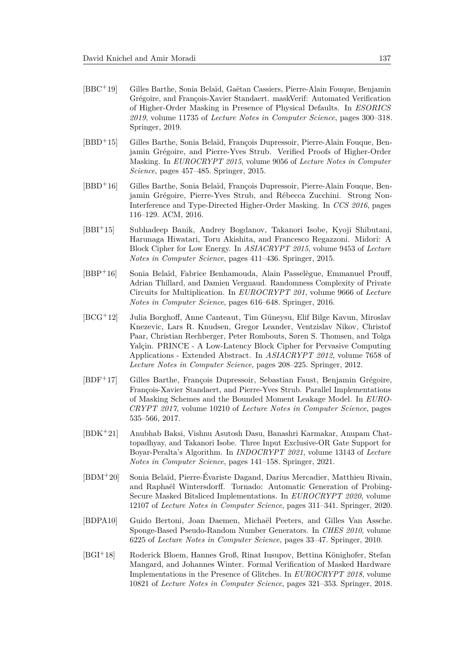- <span id="page-23-2"></span>[BBC<sup>+</sup>19] Gilles Barthe, Sonia Belaïd, Gaëtan Cassiers, Pierre-Alain Fouque, Benjamin Grégoire, and François-Xavier Standaert. maskVerif: Automated Verification of Higher-Order Masking in Presence of Physical Defaults. In *ESORICS 2019*, volume 11735 of *Lecture Notes in Computer Science*, pages 300–318. Springer, 2019.
- <span id="page-23-5"></span>[BBD<sup>+</sup>15] Gilles Barthe, Sonia Belaïd, François Dupressoir, Pierre-Alain Fouque, Benjamin Grégoire, and Pierre-Yves Strub. Verified Proofs of Higher-Order Masking. In *EUROCRYPT 2015*, volume 9056 of *Lecture Notes in Computer Science*, pages 457–485. Springer, 2015.
- <span id="page-23-4"></span>[BBD<sup>+</sup>16] Gilles Barthe, Sonia Belaïd, François Dupressoir, Pierre-Alain Fouque, Benjamin Grégoire, Pierre-Yves Strub, and Rébecca Zucchini. Strong Non-Interference and Type-Directed Higher-Order Masking. In *CCS 2016*, pages 116–129. ACM, 2016.
- <span id="page-23-7"></span>[BBI<sup>+</sup>15] Subhadeep Banik, Andrey Bogdanov, Takanori Isobe, Kyoji Shibutani, Harunaga Hiwatari, Toru Akishita, and Francesco Regazzoni. Midori: A Block Cipher for Low Energy. In *ASIACRYPT 2015*, volume 9453 of *Lecture Notes in Computer Science*, pages 411–436. Springer, 2015.
- <span id="page-23-6"></span>[BBP<sup>+</sup>16] Sonia Belaïd, Fabrice Benhamouda, Alain Passelègue, Emmanuel Prouff, Adrian Thillard, and Damien Vergnaud. Randomness Complexity of Private Circuits for Multiplication. In *EUROCRYPT 201*, volume 9666 of *Lecture Notes in Computer Science*, pages 616–648. Springer, 2016.
- <span id="page-23-8"></span>[BCG<sup>+</sup>12] Julia Borghoff, Anne Canteaut, Tim Güneysu, Elif Bilge Kavun, Miroslav Knezevic, Lars R. Knudsen, Gregor Leander, Ventzislav Nikov, Christof Paar, Christian Rechberger, Peter Rombouts, Søren S. Thomsen, and Tolga Yalcin. PRINCE - A Low-Latency Block Cipher for Pervasive Computing Applications - Extended Abstract. In *ASIACRYPT 2012*, volume 7658 of *Lecture Notes in Computer Science*, pages 208–225. Springer, 2012.
- <span id="page-23-0"></span>[BDF<sup>+</sup>17] Gilles Barthe, François Dupressoir, Sebastian Faust, Benjamin Grégoire, François-Xavier Standaert, and Pierre-Yves Strub. Parallel Implementations of Masking Schemes and the Bounded Moment Leakage Model. In *EURO-CRYPT 2017*, volume 10210 of *Lecture Notes in Computer Science*, pages 535–566, 2017.
- <span id="page-23-10"></span>[BDK<sup>+</sup>21] Anubhab Baksi, Vishnu Asutosh Dasu, Banashri Karmakar, Anupam Chattopadhyay, and Takanori Isobe. Three Input Exclusive-OR Gate Support for Boyar-Peralta's Algorithm. In *INDOCRYPT 2021*, volume 13143 of *Lecture Notes in Computer Science*, pages 141–158. Springer, 2021.
- <span id="page-23-3"></span>[BDM<sup>+</sup>20] Sonia Belaïd, Pierre-Évariste Dagand, Darius Mercadier, Matthieu Rivain, and Raphaël Wintersdorff. Tornado: Automatic Generation of Probing-Secure Masked Bitsliced Implementations. In *EUROCRYPT 2020*, volume 12107 of *Lecture Notes in Computer Science*, pages 311–341. Springer, 2020.
- <span id="page-23-9"></span>[BDPA10] Guido Bertoni, Joan Daemen, Michaël Peeters, and Gilles Van Assche. Sponge-Based Pseudo-Random Number Generators. In *CHES 2010*, volume 6225 of *Lecture Notes in Computer Science*, pages 33–47. Springer, 2010.
- <span id="page-23-1"></span>[BGI<sup>+</sup>18] Roderick Bloem, Hannes Groß, Rinat Iusupov, Bettina Könighofer, Stefan Mangard, and Johannes Winter. Formal Verification of Masked Hardware Implementations in the Presence of Glitches. In *EUROCRYPT 2018*, volume 10821 of *Lecture Notes in Computer Science*, pages 321–353. Springer, 2018.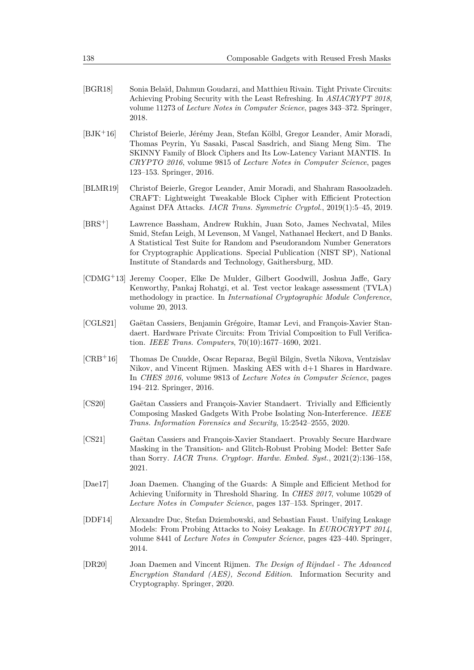- <span id="page-24-0"></span>[BGR18] Sonia Belaïd, Dahmun Goudarzi, and Matthieu Rivain. Tight Private Circuits: Achieving Probing Security with the Least Refreshing. In *ASIACRYPT 2018*, volume 11273 of *Lecture Notes in Computer Science*, pages 343–372. Springer, 2018.
- <span id="page-24-6"></span>[BJK<sup>+</sup>16] Christof Beierle, Jérémy Jean, Stefan Kölbl, Gregor Leander, Amir Moradi, Thomas Peyrin, Yu Sasaki, Pascal Sasdrich, and Siang Meng Sim. The SKINNY Family of Block Ciphers and Its Low-Latency Variant MANTIS. In *CRYPTO 2016*, volume 9815 of *Lecture Notes in Computer Science*, pages 123–153. Springer, 2016.
- <span id="page-24-7"></span>[BLMR19] Christof Beierle, Gregor Leander, Amir Moradi, and Shahram Rasoolzadeh. CRAFT: Lightweight Tweakable Block Cipher with Efficient Protection Against DFA Attacks. *IACR Trans. Symmetric Cryptol.*, 2019(1):5–45, 2019.
- <span id="page-24-9"></span>[BRS<sup>+</sup>] Lawrence Bassham, Andrew Rukhin, Juan Soto, James Nechvatal, Miles Smid, Stefan Leigh, M Levenson, M Vangel, Nathanael Heckert, and D Banks. A Statistical Test Suite for Random and Pseudorandom Number Generators for Cryptographic Applications. Special Publication (NIST SP), National Institute of Standards and Technology, Gaithersburg, MD.
- <span id="page-24-11"></span>[CDMG<sup>+</sup>13] Jeremy Cooper, Elke De Mulder, Gilbert Goodwill, Joshua Jaffe, Gary Kenworthy, Pankaj Rohatgi, et al. Test vector leakage assessment (TVLA) methodology in practice. In *International Cryptographic Module Conference*, volume 20, 2013.
- <span id="page-24-1"></span>[CGLS21] Gaëtan Cassiers, Benjamin Grégoire, Itamar Levi, and François-Xavier Standaert. Hardware Private Circuits: From Trivial Composition to Full Verification. *IEEE Trans. Computers*, 70(10):1677–1690, 2021.
- <span id="page-24-8"></span>[CRB<sup>+</sup>16] Thomas De Cnudde, Oscar Reparaz, Begül Bilgin, Svetla Nikova, Ventzislav Nikov, and Vincent Rijmen. Masking AES with d+1 Shares in Hardware. In *CHES 2016*, volume 9813 of *Lecture Notes in Computer Science*, pages 194–212. Springer, 2016.
- <span id="page-24-3"></span>[CS20] Gaëtan Cassiers and François-Xavier Standaert. Trivially and Efficiently Composing Masked Gadgets With Probe Isolating Non-Interference. *IEEE Trans. Information Forensics and Security*, 15:2542–2555, 2020.
- <span id="page-24-4"></span>[CS21] Gaëtan Cassiers and François-Xavier Standaert. Provably Secure Hardware Masking in the Transition- and Glitch-Robust Probing Model: Better Safe than Sorry. *IACR Trans. Cryptogr. Hardw. Embed. Syst.*, 2021(2):136–158, 2021.
- <span id="page-24-10"></span>[Dae17] Joan Daemen. Changing of the Guards: A Simple and Efficient Method for Achieving Uniformity in Threshold Sharing. In *CHES 2017*, volume 10529 of *Lecture Notes in Computer Science*, pages 137–153. Springer, 2017.
- <span id="page-24-2"></span>[DDF14] Alexandre Duc, Stefan Dziembowski, and Sebastian Faust. Unifying Leakage Models: From Probing Attacks to Noisy Leakage. In *EUROCRYPT 2014*, volume 8441 of *Lecture Notes in Computer Science*, pages 423–440. Springer, 2014.
- <span id="page-24-5"></span>[DR20] Joan Daemen and Vincent Rijmen. *The Design of Rijndael - The Advanced Encryption Standard (AES), Second Edition*. Information Security and Cryptography. Springer, 2020.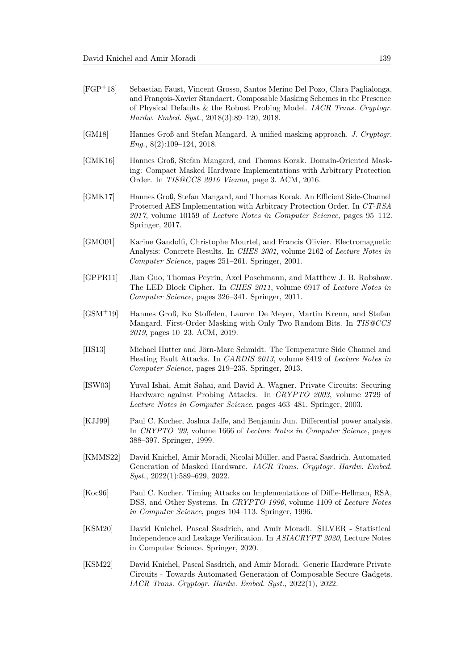- <span id="page-25-7"></span>[FGP<sup>+</sup>18] Sebastian Faust, Vincent Grosso, Santos Merino Del Pozo, Clara Paglialonga, and François-Xavier Standaert. Composable Masking Schemes in the Presence of Physical Defaults & the Robust Probing Model. *IACR Trans. Cryptogr. Hardw. Embed. Syst.*, 2018(3):89–120, 2018.
- <span id="page-25-6"></span>[GM18] Hannes Groß and Stefan Mangard. A unified masking approach. *J. Cryptogr. Eng.*, 8(2):109–124, 2018.
- <span id="page-25-11"></span>[GMK16] Hannes Groß, Stefan Mangard, and Thomas Korak. Domain-Oriented Masking: Compact Masked Hardware Implementations with Arbitrary Protection Order. In *TIS@CCS 2016 Vienna*, page 3. ACM, 2016.
- <span id="page-25-5"></span>[GMK17] Hannes Groß, Stefan Mangard, and Thomas Korak. An Efficient Side-Channel Protected AES Implementation with Arbitrary Protection Order. In *CT-RSA 2017*, volume 10159 of *Lecture Notes in Computer Science*, pages 95–112. Springer, 2017.
- <span id="page-25-2"></span>[GMO01] Karine Gandolfi, Christophe Mourtel, and Francis Olivier. Electromagnetic Analysis: Concrete Results. In *CHES 2001*, volume 2162 of *Lecture Notes in Computer Science*, pages 251–261. Springer, 2001.
- <span id="page-25-13"></span>[GPPR11] Jian Guo, Thomas Peyrin, Axel Poschmann, and Matthew J. B. Robshaw. The LED Block Cipher. In *CHES 2011*, volume 6917 of *Lecture Notes in Computer Science*, pages 326–341. Springer, 2011.
- <span id="page-25-10"></span>[GSM<sup>+</sup>19] Hannes Groß, Ko Stoffelen, Lauren De Meyer, Martin Krenn, and Stefan Mangard. First-Order Masking with Only Two Random Bits. In *TIS@CCS 2019*, pages 10–23. ACM, 2019.
- <span id="page-25-3"></span>[HS13] Michael Hutter and Jörn-Marc Schmidt. The Temperature Side Channel and Heating Fault Attacks. In *CARDIS 2013*, volume 8419 of *Lecture Notes in Computer Science*, pages 219–235. Springer, 2013.
- <span id="page-25-4"></span>[ISW03] Yuval Ishai, Amit Sahai, and David A. Wagner. Private Circuits: Securing Hardware against Probing Attacks. In *CRYPTO 2003*, volume 2729 of *Lecture Notes in Computer Science*, pages 463–481. Springer, 2003.
- <span id="page-25-1"></span>[KJJ99] Paul C. Kocher, Joshua Jaffe, and Benjamin Jun. Differential power analysis. In *CRYPTO '99*, volume 1666 of *Lecture Notes in Computer Science*, pages 388–397. Springer, 1999.
- <span id="page-25-12"></span>[KMMS22] David Knichel, Amir Moradi, Nicolai Müller, and Pascal Sasdrich. Automated Generation of Masked Hardware. *IACR Trans. Cryptogr. Hardw. Embed. Syst.*, 2022(1):589–629, 2022.
- <span id="page-25-0"></span>[Koc96] Paul C. Kocher. Timing Attacks on Implementations of Diffie-Hellman, RSA, DSS, and Other Systems. In *CRYPTO 1996*, volume 1109 of *Lecture Notes in Computer Science*, pages 104–113. Springer, 1996.
- <span id="page-25-8"></span>[KSM20] David Knichel, Pascal Sasdrich, and Amir Moradi. SILVER - Statistical Independence and Leakage Verification. In *ASIACRYPT 2020*, Lecture Notes in Computer Science. Springer, 2020.
- <span id="page-25-9"></span>[KSM22] David Knichel, Pascal Sasdrich, and Amir Moradi. Generic Hardware Private Circuits - Towards Automated Generation of Composable Secure Gadgets. *IACR Trans. Cryptogr. Hardw. Embed. Syst.*, 2022(1), 2022.